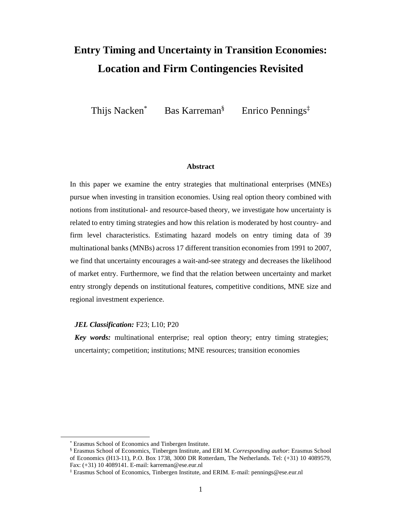# **Entry Timing and Uncertainty in Transition Economies: Location and Firm Contingencies Revisited**

Thijs Nacken\* Bas Karreman§ Enrico Pennings‡

## **Abstract**

In this paper we examine the entry strategies that multinational enterprises (MNEs) pursue when investing in transition economies. Using real option theory combined with notions from institutional- and resource-based theory, we investigate how uncertainty is related to entry timing strategies and how this relation is moderated by host country- and firm level characteristics. Estimating hazard models on entry timing data of 39 multinational banks (MNBs) across 17 different transition economies from 1991 to 2007, we find that uncertainty encourages a wait-and-see strategy and decreases the likelihood of market entry. Furthermore, we find that the relation between uncertainty and market entry strongly depends on institutional features, competitive conditions, MNE size and regional investment experience.

# JEL Classification: F23; L10; P20

*Key words:* multinational enterprise; real option theory; entry timing strategies; uncertainty; competition; institutions; MNE resources; transition economies

l,

<sup>\*</sup> Erasmus School of Economics and Tinbergen Institute.

<sup>§</sup> Erasmus School of Economics, Tinbergen Institute, and ERI M. *Corresponding author*: Erasmus School of Economics (H13-11), P.O. Box 1738, 3000 DR Rotterdam, The Netherlands. Tel: (+31) 10 4089579, Fax: (+31) 10 4089141. E-mail: karreman@ese.eur.nl

<sup>‡</sup> Erasmus School of Economics, Tinbergen Institute, and ERIM. E-mail: pennings@ese.eur.nl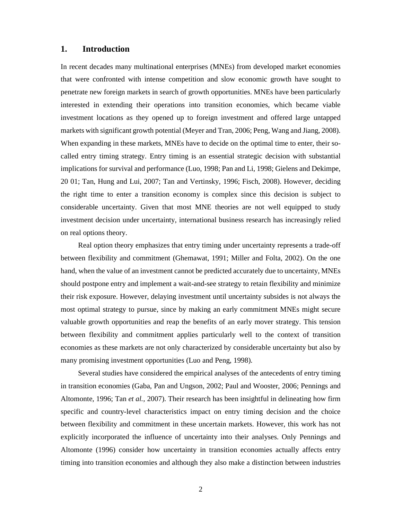# **1. Introduction**

In recent decades many multinational enterprises (MNEs) from developed market economies that were confronted with intense competition and slow economic growth have sought to penetrate new foreign markets in search of growth opportunities. MNEs have been particularly interested in extending their operations into transition economies, which became viable investment locations as they opened up to foreign investment and offered large untapped markets with significant growth potential (Meyer and Tran, 2006; Peng, Wang and Jiang, 2008). When expanding in these markets, MNEs have to decide on the optimal time to enter, their socalled entry timing strategy. Entry timing is an essential strategic decision with substantial implications for survival and performance (Luo, 1998; Pan and Li, 1998; Gielens and Dekimpe, 20 01; Tan, Hung and Lui, 2007; Tan and Vertinsky, 1996; Fisch, 2008). However, deciding the right time to enter a transition economy is complex since this decision is subject to considerable uncertainty. Given that most MNE theories are not well equipped to study investment decision under uncertainty, international business research has increasingly relied on real options theory.

Real option theory emphasizes that entry timing under uncertainty represents a trade-off between flexibility and commitment (Ghemawat, 1991; Miller and Folta, 2002). On the one hand, when the value of an investment cannot be predicted accurately due to uncertainty, MNEs should postpone entry and implement a wait-and-see strategy to retain flexibility and minimize their risk exposure. However, delaying investment until uncertainty subsides is not always the most optimal strategy to pursue, since by making an early commitment MNEs might secure valuable growth opportunities and reap the benefits of an early mover strategy. This tension between flexibility and commitment applies particularly well to the context of transition economies as these markets are not only characterized by considerable uncertainty but also by many promising investment opportunities (Luo and Peng, 1998).

Several studies have considered the empirical analyses of the antecedents of entry timing in transition economies (Gaba, Pan and Ungson, 2002; Paul and Wooster, 2006; Pennings and Altomonte, 1996; Tan *et al.,* 2007). Their research has been insightful in delineating how firm specific and country-level characteristics impact on entry timing decision and the choice between flexibility and commitment in these uncertain markets. However, this work has not explicitly incorporated the influence of uncertainty into their analyses. Only Pennings and Altomonte (1996) consider how uncertainty in transition economies actually affects entry timing into transition economies and although they also make a distinction between industries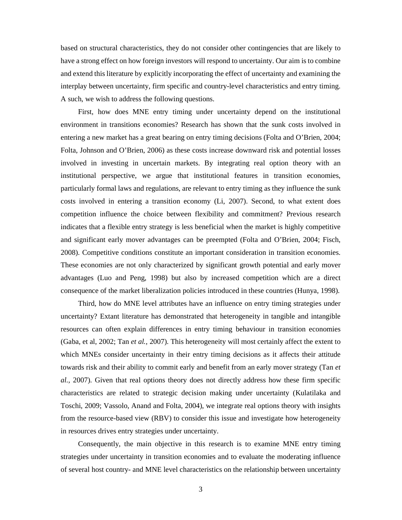based on structural characteristics, they do not consider other contingencies that are likely to have a strong effect on how foreign investors will respond to uncertainty. Our aim is to combine and extend this literature by explicitly incorporating the effect of uncertainty and examining the interplay between uncertainty, firm specific and country-level characteristics and entry timing. A such, we wish to address the following questions.

First, how does MNE entry timing under uncertainty depend on the institutional environment in transitions economies? Research has shown that the sunk costs involved in entering a new market has a great bearing on entry timing decisions (Folta and O'Brien, 2004; Folta, Johnson and O'Brien, 2006) as these costs increase downward risk and potential losses involved in investing in uncertain markets. By integrating real option theory with an institutional perspective, we argue that institutional features in transition economies, particularly formal laws and regulations, are relevant to entry timing as they influence the sunk costs involved in entering a transition economy (Li, 2007). Second, to what extent does competition influence the choice between flexibility and commitment? Previous research indicates that a flexible entry strategy is less beneficial when the market is highly competitive and significant early mover advantages can be preempted (Folta and O'Brien, 2004; Fisch, 2008). Competitive conditions constitute an important consideration in transition economies. These economies are not only characterized by significant growth potential and early mover advantages (Luo and Peng, 1998) but also by increased competition which are a direct consequence of the market liberalization policies introduced in these countries (Hunya, 1998).

Third, how do MNE level attributes have an influence on entry timing strategies under uncertainty? Extant literature has demonstrated that heterogeneity in tangible and intangible resources can often explain differences in entry timing behaviour in transition economies (Gaba, et al, 2002; Tan *et al.,* 2007). This heterogeneity will most certainly affect the extent to which MNEs consider uncertainty in their entry timing decisions as it affects their attitude towards risk and their ability to commit early and benefit from an early mover strategy (Tan *et al.,* 2007). Given that real options theory does not directly address how these firm specific characteristics are related to strategic decision making under uncertainty (Kulatilaka and Toschi, 2009; Vassolo, Anand and Folta, 2004), we integrate real options theory with insights from the resource-based view (RBV) to consider this issue and investigate how heterogeneity in resources drives entry strategies under uncertainty.

Consequently, the main objective in this research is to examine MNE entry timing strategies under uncertainty in transition economies and to evaluate the moderating influence of several host country- and MNE level characteristics on the relationship between uncertainty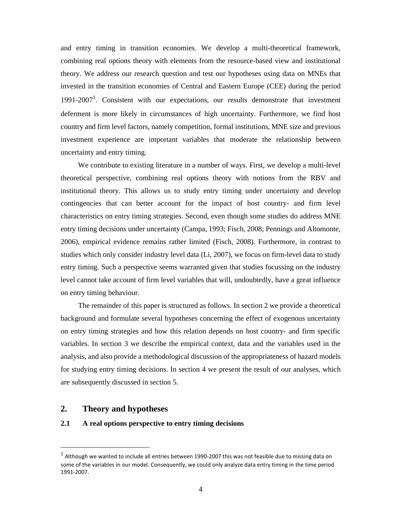and entry timing in transition economies. We develop a multi-theoretical framework, combining real options theory with elements from the resource-based view and institutional theory. We address our research question and test our hypotheses using data on MNEs that invested in the transition economies of Central and Eastern Europe (CEE) during the period 1991-2007<sup>1</sup>. Consistent with our expectations, our results demonstrate that investment deferment is more likely in circumstances of high uncertainty. Furthermore, we find host country and firm level factors, namely competition, formal institutions, MNE size and previous investment experience are important variables that moderate the relationship between uncertainty and entry timing.

We contribute to existing literature in a number of ways. First, we develop a multi-level theoretical perspective, combining real options theory with notions from the RBV and institutional theory. This allows us to study entry timing under uncertainty and develop contingencies that can better account for the impact of host country- and firm level characteristics on entry timing strategies. Second, even though some studies do address MNE entry timing decisions under uncertainty (Campa, 1993; Fisch, 2008; Pennings and Altomonte, 2006), empirical evidence remains rather limited (Fisch, 2008). Furthermore, in contrast to studies which only consider industry level data (Li, 2007), we focus on firm-level data to study entry timing. Such a perspective seems warranted given that studies focussing on the industry level cannot take account of firm level variables that will, undoubtedly, have a great influence on entry timing behaviour.

The remainder of this paper is structured as follows. In section 2 we provide a theoretical background and formulate several hypotheses concerning the effect of exogenous uncertainty on entry timing strategies and how this relation depends on host country- and firm specific variables. In section 3 we describe the empirical context, data and the variables used in the analysis, and also provide a methodological discussion of the appropriateness of hazard models for studying entry timing decisions. In section 4 we present the result of our analyses, which are subsequently discussed in section 5.

# **2. Theory and hypotheses**

 $\overline{a}$ 

# **2.1 A real options perspective to entry timing decisions**

 $<sup>1</sup>$  Although we wanted to include all entries between 1990-2007 this was not feasible due to missing data on</sup> some of the variables in our model. Consequently, we could only analyze data entry timing in the time period 1991-2007.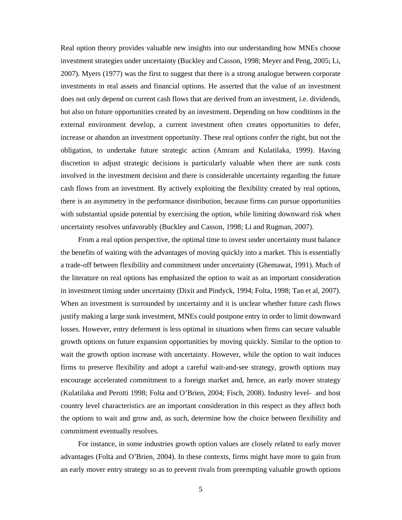Real option theory provides valuable new insights into our understanding how MNEs choose investment strategies under uncertainty (Buckley and Casson, 1998; Meyer and Peng, 2005; Li, 2007). Myers (1977) was the first to suggest that there is a strong analogue between corporate investments in real assets and financial options. He asserted that the value of an investment does not only depend on current cash flows that are derived from an investment, i.e. dividends, but also on future opportunities created by an investment. Depending on how conditions in the external environment develop, a current investment often creates opportunities to defer, increase or abandon an investment opportunity. These real options confer the right, but not the obligation, to undertake future strategic action (Amram and Kulatilaka, 1999). Having discretion to adjust strategic decisions is particularly valuable when there are sunk costs involved in the investment decision and there is considerable uncertainty regarding the future cash flows from an investment. By actively exploiting the flexibility created by real options, there is an asymmetry in the performance distribution, because firms can pursue opportunities with substantial upside potential by exercising the option, while limiting downward risk when uncertainty resolves unfavorably (Buckley and Casson, 1998; Li and Rugman, 2007).

From a real option perspective, the optimal time to invest under uncertainty must balance the benefits of waiting with the advantages of moving quickly into a market. This is essentially a trade-off between flexibility and commitment under uncertainty (Ghemawat, 1991). Much of the literature on real options has emphasized the option to wait as an important consideration in investment timing under uncertainty (Dixit and Pindyck, 1994; Folta, 1998; Tan et al, 2007). When an investment is surrounded by uncertainty and it is unclear whether future cash flows justify making a large sunk investment, MNEs could postpone entry in order to limit downward losses. However, entry deferment is less optimal in situations when firms can secure valuable growth options on future expansion opportunities by moving quickly. Similar to the option to wait the growth option increase with uncertainty. However, while the option to wait induces firms to preserve flexibility and adopt a careful wait-and-see strategy, growth options may encourage accelerated commitment to a foreign market and, hence, an early mover strategy (Kulatilaka and Perotti 1998; Folta and O'Brien, 2004; Fisch, 2008). Industry level- and host country level characteristics are an important consideration in this respect as they affect both the options to wait and grow and, as such, determine how the choice between flexibility and commitment eventually resolves.

For instance, in some industries growth option values are closely related to early mover advantages (Folta and O'Brien, 2004). In these contexts, firms might have more to gain from an early mover entry strategy so as to prevent rivals from preempting valuable growth options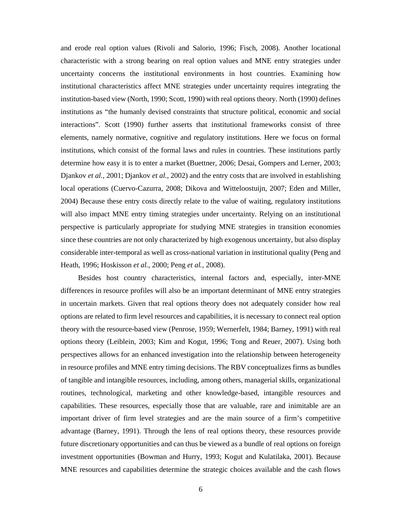and erode real option values (Rivoli and Salorio, 1996; Fisch, 2008). Another locational characteristic with a strong bearing on real option values and MNE entry strategies under uncertainty concerns the institutional environments in host countries. Examining how institutional characteristics affect MNE strategies under uncertainty requires integrating the institution-based view (North, 1990; Scott, 1990) with real options theory. North (1990) defines institutions as "the humanly devised constraints that structure political, economic and social interactions". Scott (1990) further asserts that institutional frameworks consist of three elements, namely normative, cognitive and regulatory institutions. Here we focus on formal institutions, which consist of the formal laws and rules in countries. These institutions partly determine how easy it is to enter a market (Buettner, 2006; Desai, Gompers and Lerner, 2003; Djankov *et al.,* 2001; Djankov *et al.,* 2002) and the entry costs that are involved in establishing local operations (Cuervo-Cazurra, 2008; Dikova and Witteloostuijn, 2007; Eden and Miller, 2004) Because these entry costs directly relate to the value of waiting, regulatory institutions will also impact MNE entry timing strategies under uncertainty. Relying on an institutional perspective is particularly appropriate for studying MNE strategies in transition economies since these countries are not only characterized by high exogenous uncertainty, but also display considerable inter-temporal as well as cross-national variation in institutional quality (Peng and Heath, 1996; Hoskisson *et al.,* 2000; Peng *et al.,* 2008).

Besides host country characteristics, internal factors and, especially, inter-MNE differences in resource profiles will also be an important determinant of MNE entry strategies in uncertain markets. Given that real options theory does not adequately consider how real options are related to firm level resources and capabilities, it is necessary to connect real option theory with the resource-based view (Penrose, 1959; Wernerfelt, 1984; Barney, 1991) with real options theory (Leiblein, 2003; Kim and Kogut, 1996; Tong and Reuer, 2007). Using both perspectives allows for an enhanced investigation into the relationship between heterogeneity in resource profiles and MNE entry timing decisions. The RBV conceptualizes firms as bundles of tangible and intangible resources, including, among others, managerial skills, organizational routines, technological, marketing and other knowledge-based, intangible resources and capabilities. These resources, especially those that are valuable, rare and inimitable are an important driver of firm level strategies and are the main source of a firm's competitive advantage (Barney, 1991). Through the lens of real options theory, these resources provide future discretionary opportunities and can thus be viewed as a bundle of real options on foreign investment opportunities (Bowman and Hurry, 1993; Kogut and Kulatilaka, 2001). Because MNE resources and capabilities determine the strategic choices available and the cash flows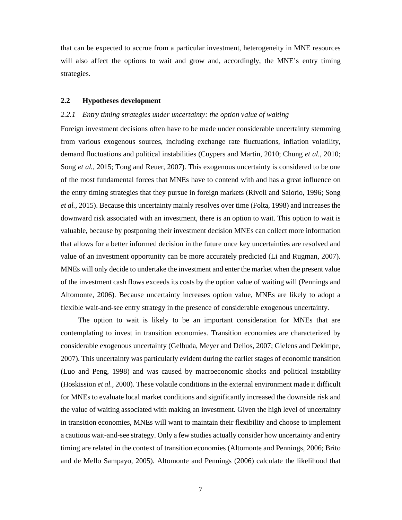that can be expected to accrue from a particular investment, heterogeneity in MNE resources will also affect the options to wait and grow and, accordingly, the MNE's entry timing strategies.

# **2.2 Hypotheses development**

#### *2.2.1 Entry timing strategies under uncertainty: the option value of waiting*

Foreign investment decisions often have to be made under considerable uncertainty stemming from various exogenous sources, including exchange rate fluctuations, inflation volatility, demand fluctuations and political instabilities (Cuypers and Martin, 2010; Chung *et al.,* 2010; Song *et al.,* 2015; Tong and Reuer, 2007). This exogenous uncertainty is considered to be one of the most fundamental forces that MNEs have to contend with and has a great influence on the entry timing strategies that they pursue in foreign markets (Rivoli and Salorio, 1996; Song *et al.,* 2015). Because this uncertainty mainly resolves over time (Folta, 1998) and increases the downward risk associated with an investment, there is an option to wait. This option to wait is valuable, because by postponing their investment decision MNEs can collect more information that allows for a better informed decision in the future once key uncertainties are resolved and value of an investment opportunity can be more accurately predicted (Li and Rugman, 2007). MNEs will only decide to undertake the investment and enter the market when the present value of the investment cash flows exceeds its costs by the option value of waiting will (Pennings and Altomonte, 2006). Because uncertainty increases option value, MNEs are likely to adopt a flexible wait-and-see entry strategy in the presence of considerable exogenous uncertainty.

The option to wait is likely to be an important consideration for MNEs that are contemplating to invest in transition economies. Transition economies are characterized by considerable exogenous uncertainty (Gelbuda, Meyer and Delios, 2007; Gielens and Dekimpe, 2007). This uncertainty was particularly evident during the earlier stages of economic transition (Luo and Peng, 1998) and was caused by macroeconomic shocks and political instability (Hoskission *et al.,* 2000). These volatile conditions in the external environment made it difficult for MNEs to evaluate local market conditions and significantly increased the downside risk and the value of waiting associated with making an investment. Given the high level of uncertainty in transition economies, MNEs will want to maintain their flexibility and choose to implement a cautious wait-and-see strategy. Only a few studies actually consider how uncertainty and entry timing are related in the context of transition economies (Altomonte and Pennings, 2006; Brito and de Mello Sampayo, 2005). Altomonte and Pennings (2006) calculate the likelihood that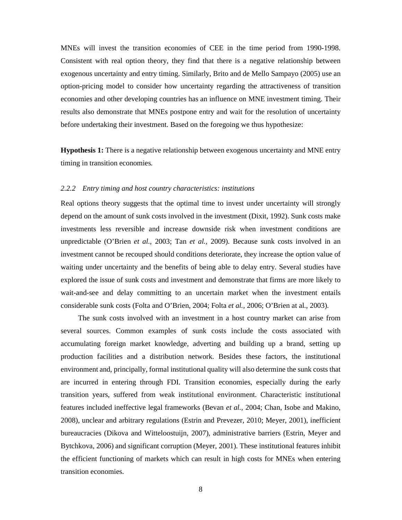MNEs will invest the transition economies of CEE in the time period from 1990-1998. Consistent with real option theory, they find that there is a negative relationship between exogenous uncertainty and entry timing. Similarly, Brito and de Mello Sampayo (2005) use an option-pricing model to consider how uncertainty regarding the attractiveness of transition economies and other developing countries has an influence on MNE investment timing. Their results also demonstrate that MNEs postpone entry and wait for the resolution of uncertainty before undertaking their investment. Based on the foregoing we thus hypothesize:

**Hypothesis 1:** There is a negative relationship between exogenous uncertainty and MNE entry timing in transition economies.

#### *2.2.2 Entry timing and host country characteristics: institutions*

Real options theory suggests that the optimal time to invest under uncertainty will strongly depend on the amount of sunk costs involved in the investment (Dixit, 1992). Sunk costs make investments less reversible and increase downside risk when investment conditions are unpredictable (O'Brien *et al.,* 2003; Tan *et al.,* 2009). Because sunk costs involved in an investment cannot be recouped should conditions deteriorate, they increase the option value of waiting under uncertainty and the benefits of being able to delay entry. Several studies have explored the issue of sunk costs and investment and demonstrate that firms are more likely to wait-and-see and delay committing to an uncertain market when the investment entails considerable sunk costs (Folta and O'Brien, 2004; Folta *et al.,* 2006; O'Brien at al., 2003).

The sunk costs involved with an investment in a host country market can arise from several sources. Common examples of sunk costs include the costs associated with accumulating foreign market knowledge, adverting and building up a brand, setting up production facilities and a distribution network. Besides these factors, the institutional environment and, principally, formal institutional quality will also determine the sunk costs that are incurred in entering through FDI. Transition economies, especially during the early transition years, suffered from weak institutional environment. Characteristic institutional features included ineffective legal frameworks (Bevan *et al.,* 2004; Chan, Isobe and Makino, 2008), unclear and arbitrary regulations (Estrin and Prevezer, 2010; Meyer, 2001), inefficient bureaucracies (Dikova and Witteloostuijn, 2007), administrative barriers (Estrin, Meyer and Bytchkova, 2006) and significant corruption (Meyer, 2001). These institutional features inhibit the efficient functioning of markets which can result in high costs for MNEs when entering transition economies.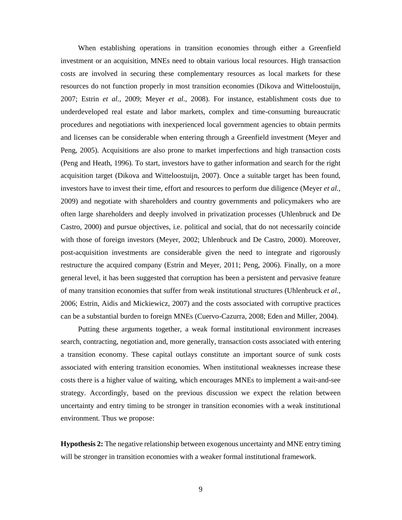When establishing operations in transition economies through either a Greenfield investment or an acquisition, MNEs need to obtain various local resources. High transaction costs are involved in securing these complementary resources as local markets for these resources do not function properly in most transition economies (Dikova and Witteloostuijn, 2007; Estrin *et al.,* 2009; Meyer *et al*., 2008). For instance, establishment costs due to underdeveloped real estate and labor markets, complex and time-consuming bureaucratic procedures and negotiations with inexperienced local government agencies to obtain permits and licenses can be considerable when entering through a Greenfield investment (Meyer and Peng, 2005). Acquisitions are also prone to market imperfections and high transaction costs (Peng and Heath, 1996). To start, investors have to gather information and search for the right acquisition target (Dikova and Witteloostuijn, 2007). Once a suitable target has been found, investors have to invest their time, effort and resources to perform due diligence (Meyer *et al.,* 2009) and negotiate with shareholders and country governments and policymakers who are often large shareholders and deeply involved in privatization processes (Uhlenbruck and De Castro, 2000) and pursue objectives, i.e. political and social, that do not necessarily coincide with those of foreign investors (Meyer, 2002; Uhlenbruck and De Castro, 2000). Moreover, post-acquisition investments are considerable given the need to integrate and rigorously restructure the acquired company (Estrin and Meyer, 2011; Peng, 2006). Finally, on a more general level, it has been suggested that corruption has been a persistent and pervasive feature of many transition economies that suffer from weak institutional structures (Uhlenbruck *et al.,* 2006; Estrin, Aidis and Mickiewicz, 2007) and the costs associated with corruptive practices can be a substantial burden to foreign MNEs (Cuervo-Cazurra, 2008; Eden and Miller, 2004).

Putting these arguments together, a weak formal institutional environment increases search, contracting, negotiation and, more generally, transaction costs associated with entering a transition economy. These capital outlays constitute an important source of sunk costs associated with entering transition economies. When institutional weaknesses increase these costs there is a higher value of waiting, which encourages MNEs to implement a wait-and-see strategy. Accordingly, based on the previous discussion we expect the relation between uncertainty and entry timing to be stronger in transition economies with a weak institutional environment. Thus we propose:

**Hypothesis 2:** The negative relationship between exogenous uncertainty and MNE entry timing will be stronger in transition economies with a weaker formal institutional framework.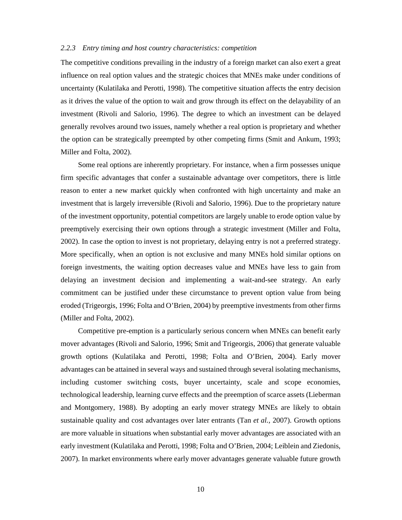#### *2.2.3 Entry timing and host country characteristics: competition*

The competitive conditions prevailing in the industry of a foreign market can also exert a great influence on real option values and the strategic choices that MNEs make under conditions of uncertainty (Kulatilaka and Perotti, 1998). The competitive situation affects the entry decision as it drives the value of the option to wait and grow through its effect on the delayability of an investment (Rivoli and Salorio, 1996). The degree to which an investment can be delayed generally revolves around two issues, namely whether a real option is proprietary and whether the option can be strategically preempted by other competing firms (Smit and Ankum, 1993; Miller and Folta, 2002).

Some real options are inherently proprietary. For instance, when a firm possesses unique firm specific advantages that confer a sustainable advantage over competitors, there is little reason to enter a new market quickly when confronted with high uncertainty and make an investment that is largely irreversible (Rivoli and Salorio, 1996). Due to the proprietary nature of the investment opportunity, potential competitors are largely unable to erode option value by preemptively exercising their own options through a strategic investment (Miller and Folta, 2002). In case the option to invest is not proprietary, delaying entry is not a preferred strategy. More specifically, when an option is not exclusive and many MNEs hold similar options on foreign investments, the waiting option decreases value and MNEs have less to gain from delaying an investment decision and implementing a wait-and-see strategy. An early commitment can be justified under these circumstance to prevent option value from being eroded (Trigeorgis, 1996; Folta and O'Brien, 2004) by preemptive investments from other firms (Miller and Folta, 2002).

Competitive pre-emption is a particularly serious concern when MNEs can benefit early mover advantages (Rivoli and Salorio, 1996; Smit and Trigeorgis, 2006) that generate valuable growth options (Kulatilaka and Perotti, 1998; Folta and O'Brien, 2004). Early mover advantages can be attained in several ways and sustained through several isolating mechanisms, including customer switching costs, buyer uncertainty, scale and scope economies, technological leadership, learning curve effects and the preemption of scarce assets (Lieberman and Montgomery, 1988). By adopting an early mover strategy MNEs are likely to obtain sustainable quality and cost advantages over later entrants (Tan *et al.,* 2007). Growth options are more valuable in situations when substantial early mover advantages are associated with an early investment (Kulatilaka and Perotti, 1998; Folta and O'Brien, 2004; Leiblein and Ziedonis, 2007). In market environments where early mover advantages generate valuable future growth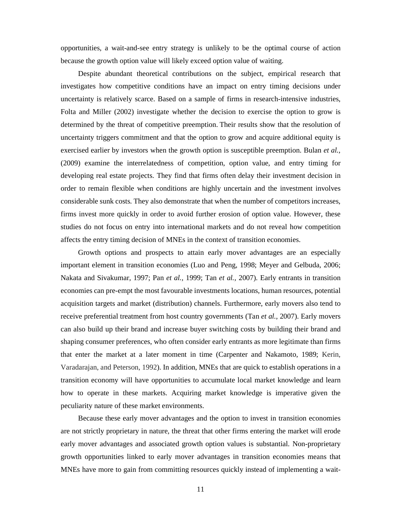opportunities, a wait-and-see entry strategy is unlikely to be the optimal course of action because the growth option value will likely exceed option value of waiting.

Despite abundant theoretical contributions on the subject, empirical research that investigates how competitive conditions have an impact on entry timing decisions under uncertainty is relatively scarce. Based on a sample of firms in research-intensive industries, Folta and Miller (2002) investigate whether the decision to exercise the option to grow is determined by the threat of competitive preemption. Their results show that the resolution of uncertainty triggers commitment and that the option to grow and acquire additional equity is exercised earlier by investors when the growth option is susceptible preemption. Bulan *et al.,* (2009) examine the interrelatedness of competition, option value, and entry timing for developing real estate projects. They find that firms often delay their investment decision in order to remain flexible when conditions are highly uncertain and the investment involves considerable sunk costs. They also demonstrate that when the number of competitors increases, firms invest more quickly in order to avoid further erosion of option value. However, these studies do not focus on entry into international markets and do not reveal how competition affects the entry timing decision of MNEs in the context of transition economies.

Growth options and prospects to attain early mover advantages are an especially important element in transition economies (Luo and Peng, 1998; Meyer and Gelbuda, 2006; Nakata and Sivakumar, 1997; Pan *et al.,* 1999; Tan *et al.,* 2007). Early entrants in transition economies can pre-empt the most favourable investments locations, human resources, potential acquisition targets and market (distribution) channels. Furthermore, early movers also tend to receive preferential treatment from host country governments (Tan *et al.,* 2007). Early movers can also build up their brand and increase buyer switching costs by building their brand and shaping consumer preferences, who often consider early entrants as more legitimate than firms that enter the market at a later moment in time (Carpenter and Nakamoto, 1989; Kerin, Varadarajan, and Peterson, 1992). In addition, MNEs that are quick to establish operations in a transition economy will have opportunities to accumulate local market knowledge and learn how to operate in these markets. Acquiring market knowledge is imperative given the peculiarity nature of these market environments.

Because these early mover advantages and the option to invest in transition economies are not strictly proprietary in nature, the threat that other firms entering the market will erode early mover advantages and associated growth option values is substantial. Non-proprietary growth opportunities linked to early mover advantages in transition economies means that MNEs have more to gain from committing resources quickly instead of implementing a wait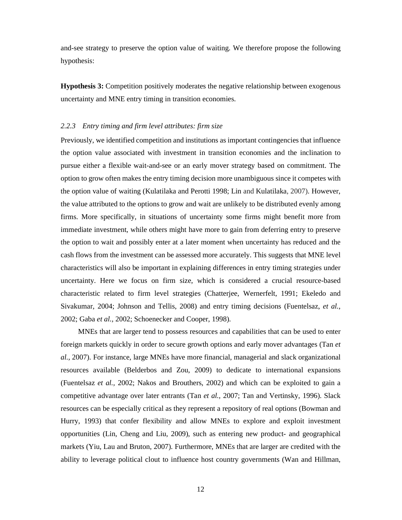and-see strategy to preserve the option value of waiting. We therefore propose the following hypothesis:

**Hypothesis 3:** Competition positively moderates the negative relationship between exogenous uncertainty and MNE entry timing in transition economies.

## *2.2.3 Entry timing and firm level attributes: firm size*

Previously, we identified competition and institutions as important contingencies that influence the option value associated with investment in transition economies and the inclination to pursue either a flexible wait-and-see or an early mover strategy based on commitment. The option to grow often makes the entry timing decision more unambiguous since it competes with the option value of waiting (Kulatilaka and Perotti 1998; Lin and Kulatilaka, 2007). However, the value attributed to the options to grow and wait are unlikely to be distributed evenly among firms. More specifically, in situations of uncertainty some firms might benefit more from immediate investment, while others might have more to gain from deferring entry to preserve the option to wait and possibly enter at a later moment when uncertainty has reduced and the cash flows from the investment can be assessed more accurately. This suggests that MNE level characteristics will also be important in explaining differences in entry timing strategies under uncertainty. Here we focus on firm size, which is considered a crucial resource-based characteristic related to firm level strategies (Chatterjee, Wernerfelt, 1991; Ekeledo and Sivakumar, 2004; Johnson and Tellis, 2008) and entry timing decisions (Fuentelsaz, *et al.,* 2002; Gaba *et al.,* 2002; Schoenecker and Cooper, 1998).

MNEs that are larger tend to possess resources and capabilities that can be used to enter foreign markets quickly in order to secure growth options and early mover advantages (Tan *et al.,* 2007). For instance, large MNEs have more financial, managerial and slack organizational resources available (Belderbos and Zou, 2009) to dedicate to international expansions (Fuentelsaz *et al.,* 2002; Nakos and Brouthers, 2002) and which can be exploited to gain a competitive advantage over later entrants (Tan *et al.,* 2007; Tan and Vertinsky, 1996). Slack resources can be especially critical as they represent a repository of real options (Bowman and Hurry, 1993) that confer flexibility and allow MNEs to explore and exploit investment opportunities (Lin, Cheng and Liu, 2009), such as entering new product- and geographical markets (Yiu, Lau and Bruton, 2007). Furthermore, MNEs that are larger are credited with the ability to leverage political clout to influence host country governments (Wan and Hillman,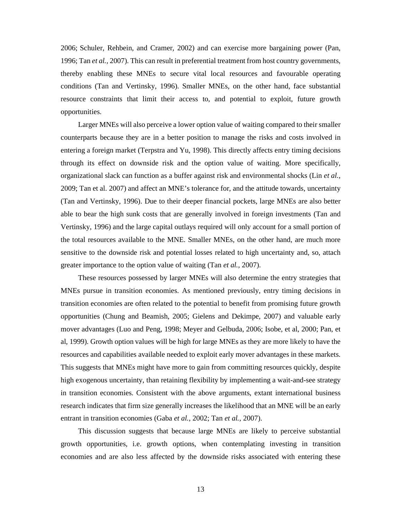2006; Schuler, Rehbein, and Cramer, 2002) and can exercise more bargaining power (Pan, 1996; Tan *et al.,* 2007). This can result in preferential treatment from host country governments, thereby enabling these MNEs to secure vital local resources and favourable operating conditions (Tan and Vertinsky, 1996). Smaller MNEs, on the other hand, face substantial resource constraints that limit their access to, and potential to exploit, future growth opportunities.

Larger MNEs will also perceive a lower option value of waiting compared to their smaller counterparts because they are in a better position to manage the risks and costs involved in entering a foreign market (Terpstra and Yu, 1998). This directly affects entry timing decisions through its effect on downside risk and the option value of waiting. More specifically, organizational slack can function as a buffer against risk and environmental shocks (Lin *et al.,* 2009; Tan et al. 2007) and affect an MNE's tolerance for, and the attitude towards, uncertainty (Tan and Vertinsky, 1996). Due to their deeper financial pockets, large MNEs are also better able to bear the high sunk costs that are generally involved in foreign investments (Tan and Vertinsky, 1996) and the large capital outlays required will only account for a small portion of the total resources available to the MNE. Smaller MNEs, on the other hand, are much more sensitive to the downside risk and potential losses related to high uncertainty and, so, attach greater importance to the option value of waiting (Tan *et al.,* 2007).

These resources possessed by larger MNEs will also determine the entry strategies that MNEs pursue in transition economies. As mentioned previously, entry timing decisions in transition economies are often related to the potential to benefit from promising future growth opportunities (Chung and Beamish, 2005; Gielens and Dekimpe, 2007) and valuable early mover advantages (Luo and Peng, 1998; Meyer and Gelbuda, 2006; Isobe, et al, 2000; Pan, et al, 1999). Growth option values will be high for large MNEs as they are more likely to have the resources and capabilities available needed to exploit early mover advantages in these markets. This suggests that MNEs might have more to gain from committing resources quickly, despite high exogenous uncertainty, than retaining flexibility by implementing a wait-and-see strategy in transition economies. Consistent with the above arguments, extant international business research indicates that firm size generally increases the likelihood that an MNE will be an early entrant in transition economies (Gaba *et al.,* 2002; Tan *et al.,* 2007).

This discussion suggests that because large MNEs are likely to perceive substantial growth opportunities, i.e. growth options, when contemplating investing in transition economies and are also less affected by the downside risks associated with entering these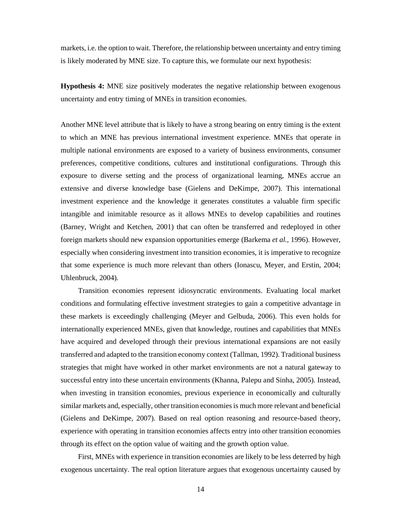markets, i.e. the option to wait. Therefore, the relationship between uncertainty and entry timing is likely moderated by MNE size. To capture this, we formulate our next hypothesis:

**Hypothesis 4:** MNE size positively moderates the negative relationship between exogenous uncertainty and entry timing of MNEs in transition economies.

Another MNE level attribute that is likely to have a strong bearing on entry timing is the extent to which an MNE has previous international investment experience. MNEs that operate in multiple national environments are exposed to a variety of business environments, consumer preferences, competitive conditions, cultures and institutional configurations. Through this exposure to diverse setting and the process of organizational learning, MNEs accrue an extensive and diverse knowledge base (Gielens and DeKimpe, 2007). This international investment experience and the knowledge it generates constitutes a valuable firm specific intangible and inimitable resource as it allows MNEs to develop capabilities and routines (Barney, Wright and Ketchen, 2001) that can often be transferred and redeployed in other foreign markets should new expansion opportunities emerge (Barkema *et al.,* 1996). However, especially when considering investment into transition economies, it is imperative to recognize that some experience is much more relevant than others (Ionascu, Meyer, and Erstin, 2004; Uhlenbruck, 2004).

Transition economies represent idiosyncratic environments. Evaluating local market conditions and formulating effective investment strategies to gain a competitive advantage in these markets is exceedingly challenging (Meyer and Gelbuda, 2006). This even holds for internationally experienced MNEs, given that knowledge, routines and capabilities that MNEs have acquired and developed through their previous international expansions are not easily transferred and adapted to the transition economy context (Tallman, 1992). Traditional business strategies that might have worked in other market environments are not a natural gateway to successful entry into these uncertain environments (Khanna, Palepu and Sinha, 2005). Instead, when investing in transition economies, previous experience in economically and culturally similar markets and, especially, other transition economies is much more relevant and beneficial (Gielens and DeKimpe, 2007). Based on real option reasoning and resource-based theory, experience with operating in transition economies affects entry into other transition economies through its effect on the option value of waiting and the growth option value.

First, MNEs with experience in transition economies are likely to be less deterred by high exogenous uncertainty. The real option literature argues that exogenous uncertainty caused by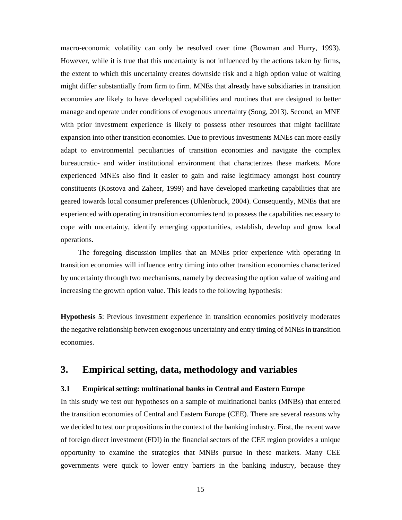macro-economic volatility can only be resolved over time (Bowman and Hurry, 1993). However, while it is true that this uncertainty is not influenced by the actions taken by firms, the extent to which this uncertainty creates downside risk and a high option value of waiting might differ substantially from firm to firm. MNEs that already have subsidiaries in transition economies are likely to have developed capabilities and routines that are designed to better manage and operate under conditions of exogenous uncertainty (Song, 2013). Second, an MNE with prior investment experience is likely to possess other resources that might facilitate expansion into other transition economies. Due to previous investments MNEs can more easily adapt to environmental peculiarities of transition economies and navigate the complex bureaucratic- and wider institutional environment that characterizes these markets. More experienced MNEs also find it easier to gain and raise legitimacy amongst host country constituents (Kostova and Zaheer, 1999) and have developed marketing capabilities that are geared towards local consumer preferences (Uhlenbruck, 2004). Consequently, MNEs that are experienced with operating in transition economies tend to possess the capabilities necessary to cope with uncertainty, identify emerging opportunities, establish, develop and grow local operations.

The foregoing discussion implies that an MNEs prior experience with operating in transition economies will influence entry timing into other transition economies characterized by uncertainty through two mechanisms, namely by decreasing the option value of waiting and increasing the growth option value. This leads to the following hypothesis:

**Hypothesis 5**: Previous investment experience in transition economies positively moderates the negative relationship between exogenous uncertainty and entry timing of MNEs in transition economies.

# **3. Empirical setting, data, methodology and variables**

#### **3.1 Empirical setting: multinational banks in Central and Eastern Europe**

In this study we test our hypotheses on a sample of multinational banks (MNBs) that entered the transition economies of Central and Eastern Europe (CEE). There are several reasons why we decided to test our propositions in the context of the banking industry. First, the recent wave of foreign direct investment (FDI) in the financial sectors of the CEE region provides a unique opportunity to examine the strategies that MNBs pursue in these markets. Many CEE governments were quick to lower entry barriers in the banking industry, because they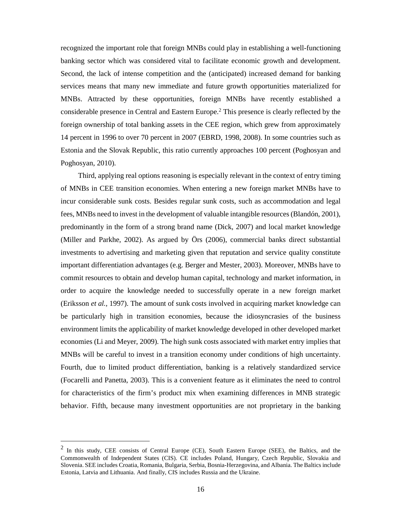recognized the important role that foreign MNBs could play in establishing a well-functioning banking sector which was considered vital to facilitate economic growth and development. Second, the lack of intense competition and the (anticipated) increased demand for banking services means that many new immediate and future growth opportunities materialized for MNBs. Attracted by these opportunities, foreign MNBs have recently established a considerable presence in Central and Eastern Europe. 2 This presence is clearly reflected by the foreign ownership of total banking assets in the CEE region, which grew from approximately 14 percent in 1996 to over 70 percent in 2007 (EBRD, 1998, 2008). In some countries such as Estonia and the Slovak Republic, this ratio currently approaches 100 percent (Poghosyan and Poghosyan, 2010).

Third, applying real options reasoning is especially relevant in the context of entry timing of MNBs in CEE transition economies. When entering a new foreign market MNBs have to incur considerable sunk costs. Besides regular sunk costs, such as accommodation and legal fees, MNBs need to invest in the development of valuable intangible resources (Blandón, 2001), predominantly in the form of a strong brand name (Dick, 2007) and local market knowledge (Miller and Parkhe, 2002). As argued by Örs (2006), commercial banks direct substantial investments to advertising and marketing given that reputation and service quality constitute important differentiation advantages (e.g. Berger and Mester, 2003). Moreover, MNBs have to commit resources to obtain and develop human capital, technology and market information, in order to acquire the knowledge needed to successfully operate in a new foreign market (Eriksson *et al.,* 1997). The amount of sunk costs involved in acquiring market knowledge can be particularly high in transition economies, because the idiosyncrasies of the business environment limits the applicability of market knowledge developed in other developed market economies (Li and Meyer, 2009). The high sunk costs associated with market entry implies that MNBs will be careful to invest in a transition economy under conditions of high uncertainty. Fourth, due to limited product differentiation, banking is a relatively standardized service (Focarelli and Panetta, 2003). This is a convenient feature as it eliminates the need to control for characteristics of the firm's product mix when examining differences in MNB strategic behavior. Fifth, because many investment opportunities are not proprietary in the banking

1

<sup>&</sup>lt;sup>2</sup> In this study, CEE consists of Central Europe (CE), South Eastern Europe (SEE), the Baltics, and the Commonwealth of Independent States (CIS). CE includes Poland, Hungary, Czech Republic, Slovakia and Slovenia. SEE includes Croatia, Romania, Bulgaria, Serbia, Bosnia-Herzegovina, and Albania. The Baltics include Estonia, Latvia and Lithuania. And finally, CIS includes Russia and the Ukraine.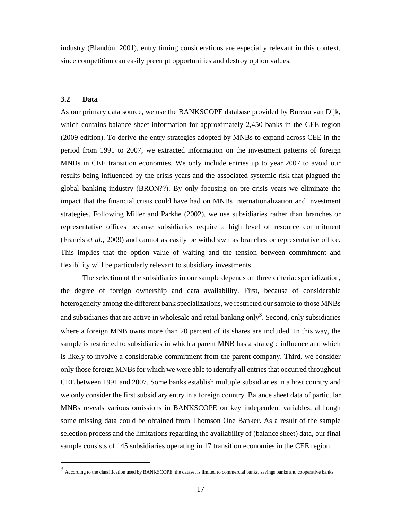industry (Blandón, 2001), entry timing considerations are especially relevant in this context, since competition can easily preempt opportunities and destroy option values.

# **3.2 Data**

l,

As our primary data source, we use the BANKSCOPE database provided by Bureau van Dijk, which contains balance sheet information for approximately 2,450 banks in the CEE region (2009 edition). To derive the entry strategies adopted by MNBs to expand across CEE in the period from 1991 to 2007, we extracted information on the investment patterns of foreign MNBs in CEE transition economies. We only include entries up to year 2007 to avoid our results being influenced by the crisis years and the associated systemic risk that plagued the global banking industry (BRON??). By only focusing on pre-crisis years we eliminate the impact that the financial crisis could have had on MNBs internationalization and investment strategies. Following Miller and Parkhe (2002), we use subsidiaries rather than branches or representative offices because subsidiaries require a high level of resource commitment (Francis *et al.,* 2009) and cannot as easily be withdrawn as branches or representative office. This implies that the option value of waiting and the tension between commitment and flexibility will be particularly relevant to subsidiary investments.

 The selection of the subsidiaries in our sample depends on three criteria: specialization, the degree of foreign ownership and data availability. First, because of considerable heterogeneity among the different bank specializations, we restricted our sample to those MNBs and subsidiaries that are active in wholesale and retail banking only<sup>3</sup>. Second, only subsidiaries where a foreign MNB owns more than 20 percent of its shares are included. In this way, the sample is restricted to subsidiaries in which a parent MNB has a strategic influence and which is likely to involve a considerable commitment from the parent company. Third, we consider only those foreign MNBs for which we were able to identify all entries that occurred throughout CEE between 1991 and 2007. Some banks establish multiple subsidiaries in a host country and we only consider the first subsidiary entry in a foreign country. Balance sheet data of particular MNBs reveals various omissions in BANKSCOPE on key independent variables, although some missing data could be obtained from Thomson One Banker. As a result of the sample selection process and the limitations regarding the availability of (balance sheet) data, our final sample consists of 145 subsidiaries operating in 17 transition economies in the CEE region.

<sup>3</sup> According to the classification used by BANKSCOPE, the dataset is limited to commercial banks, savings banks and cooperative banks.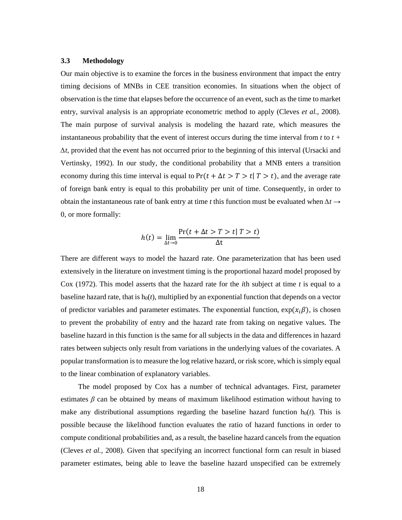# **3.3 Methodology**

Our main objective is to examine the forces in the business environment that impact the entry timing decisions of MNBs in CEE transition economies. In situations when the object of observation is the time that elapses before the occurrence of an event, such as the time to market entry, survival analysis is an appropriate econometric method to apply (Cleves *et al.,* 2008). The main purpose of survival analysis is modeling the hazard rate, which measures the instantaneous probability that the event of interest occurs during the time interval from *t* to *t + ∆t*, provided that the event has not occurred prior to the beginning of this interval (Ursacki and Vertinsky, 1992). In our study, the conditional probability that a MNB enters a transition economy during this time interval is equal to  $Pr(t + \Delta t > T > t | T > t)$ , and the average rate of foreign bank entry is equal to this probability per unit of time. Consequently, in order to obtain the instantaneous rate of bank entry at time *t* this function must be evaluated when *∆t* → 0, or more formally:

$$
h(t) = \lim_{\Delta t \to 0} \frac{\Pr(t + \Delta t > T > t | T > t)}{\Delta t}
$$

There are different ways to model the hazard rate. One parameterization that has been used extensively in the literature on investment timing is the proportional hazard model proposed by Cox (1972). This model asserts that the hazard rate for the *i*th subject at time *t* is equal to a baseline hazard rate, that is  $h<sub>0</sub>(t)$ , multiplied by an exponential function that depends on a vector of predictor variables and parameter estimates. The exponential function,  $\exp(x_i \beta)$ , is chosen to prevent the probability of entry and the hazard rate from taking on negative values. The baseline hazard in this function is the same for all subjects in the data and differences in hazard rates between subjects only result from variations in the underlying values of the covariates. A popular transformation is to measure the log relative hazard, or risk score, which is simply equal to the linear combination of explanatory variables.

The model proposed by Cox has a number of technical advantages. First, parameter estimates  $\beta$  can be obtained by means of maximum likelihood estimation without having to make any distributional assumptions regarding the baseline hazard function  $h_0(t)$ . This is possible because the likelihood function evaluates the ratio of hazard functions in order to compute conditional probabilities and, as a result, the baseline hazard cancels from the equation (Cleves *et al.,* 2008). Given that specifying an incorrect functional form can result in biased parameter estimates, being able to leave the baseline hazard unspecified can be extremely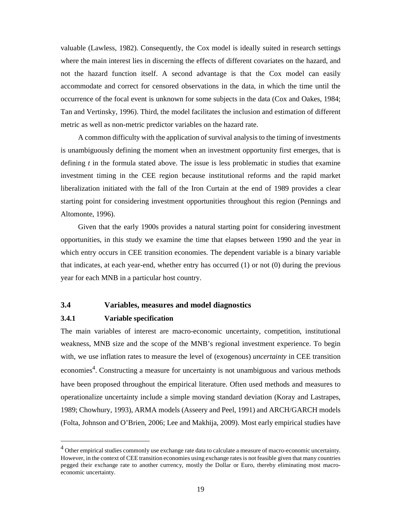valuable (Lawless, 1982). Consequently, the Cox model is ideally suited in research settings where the main interest lies in discerning the effects of different covariates on the hazard, and not the hazard function itself. A second advantage is that the Cox model can easily accommodate and correct for censored observations in the data, in which the time until the occurrence of the focal event is unknown for some subjects in the data (Cox and Oakes, 1984; Tan and Vertinsky, 1996). Third, the model facilitates the inclusion and estimation of different metric as well as non-metric predictor variables on the hazard rate.

A common difficulty with the application of survival analysis to the timing of investments is unambiguously defining the moment when an investment opportunity first emerges, that is defining *t* in the formula stated above. The issue is less problematic in studies that examine investment timing in the CEE region because institutional reforms and the rapid market liberalization initiated with the fall of the Iron Curtain at the end of 1989 provides a clear starting point for considering investment opportunities throughout this region (Pennings and Altomonte, 1996).

Given that the early 1900s provides a natural starting point for considering investment opportunities, in this study we examine the time that elapses between 1990 and the year in which entry occurs in CEE transition economies. The dependent variable is a binary variable that indicates, at each year-end, whether entry has occurred (1) or not (0) during the previous year for each MNB in a particular host country.

# **3.4 Variables, measures and model diagnostics**

#### **3.4.1 Variable specification**

1

The main variables of interest are macro-economic uncertainty, competition, institutional weakness, MNB size and the scope of the MNB's regional investment experience. To begin with, we use inflation rates to measure the level of (exogenous) *uncertainty* in CEE transition economies<sup>4</sup>. Constructing a measure for uncertainty is not unambiguous and various methods have been proposed throughout the empirical literature. Often used methods and measures to operationalize uncertainty include a simple moving standard deviation (Koray and Lastrapes, 1989; Chowhury, 1993), ARMA models (Asseery and Peel, 1991) and ARCH/GARCH models (Folta, Johnson and O'Brien, 2006; Lee and Makhija, 2009). Most early empirical studies have

 $<sup>4</sup>$  Other empirical studies commonly use exchange rate data to calculate a measure of macro-economic uncertainty.</sup> However, in the context of CEE transition economies using exchange rates is not feasible given that many countries pegged their exchange rate to another currency, mostly the Dollar or Euro, thereby eliminating most macroeconomic uncertainty.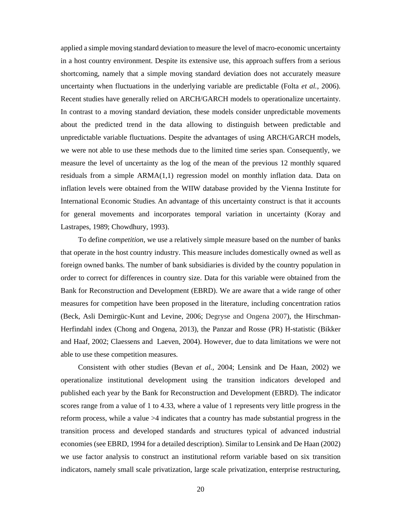applied a simple moving standard deviation to measure the level of macro-economic uncertainty in a host country environment. Despite its extensive use, this approach suffers from a serious shortcoming, namely that a simple moving standard deviation does not accurately measure uncertainty when fluctuations in the underlying variable are predictable (Folta *et al.,* 2006). Recent studies have generally relied on ARCH/GARCH models to operationalize uncertainty. In contrast to a moving standard deviation, these models consider unpredictable movements about the predicted trend in the data allowing to distinguish between predictable and unpredictable variable fluctuations. Despite the advantages of using ARCH/GARCH models, we were not able to use these methods due to the limited time series span. Consequently, we measure the level of uncertainty as the log of the mean of the previous 12 monthly squared residuals from a simple ARMA(1,1) regression model on monthly inflation data. Data on inflation levels were obtained from the WIIW database provided by the Vienna Institute for International Economic Studies**.** An advantage of this uncertainty construct is that it accounts for general movements and incorporates temporal variation in uncertainty (Koray and Lastrapes, 1989; Chowdhury, 1993).

To define *competition*, we use a relatively simple measure based on the number of banks that operate in the host country industry. This measure includes domestically owned as well as foreign owned banks. The number of bank subsidiaries is divided by the country population in order to correct for differences in country size. Data for this variable were obtained from the Bank for Reconstruction and Development (EBRD). We are aware that a wide range of other measures for competition have been proposed in the literature, including concentration ratios (Beck, Asli Demirgüc-Kunt and Levine, 2006; Degryse and Ongena 2007), the Hirschman-Herfindahl index (Chong and Ongena, 2013), the Panzar and Rosse (PR) H-statistic (Bikker and Haaf, 2002; Claessens and Laeven, 2004). However, due to data limitations we were not able to use these competition measures.

Consistent with other studies (Bevan *et al.,* 2004; Lensink and De Haan, 2002) we operationalize institutional development using the transition indicators developed and published each year by the Bank for Reconstruction and Development (EBRD). The indicator scores range from a value of 1 to 4.33, where a value of 1 represents very little progress in the reform process, while a value >4 indicates that a country has made substantial progress in the transition process and developed standards and structures typical of advanced industrial economies (see EBRD, 1994 for a detailed description). Similar to Lensink and De Haan (2002) we use factor analysis to construct an institutional reform variable based on six transition indicators, namely small scale privatization, large scale privatization, enterprise restructuring,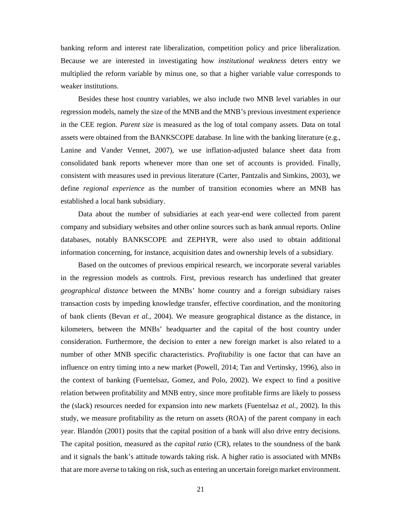banking reform and interest rate liberalization, competition policy and price liberalization. Because we are interested in investigating how *institutional weakness* deters entry we multiplied the reform variable by minus one, so that a higher variable value corresponds to weaker institutions.

Besides these host country variables, we also include two MNB level variables in our regression models, namely the size of the MNB and the MNB's previous investment experience in the CEE region. *Parent size* is measured as the log of total company assets. Data on total assets were obtained from the BANKSCOPE database. In line with the banking literature (e.g., Lanine and Vander Vennet, 2007), we use inflation-adjusted balance sheet data from consolidated bank reports whenever more than one set of accounts is provided. Finally, consistent with measures used in previous literature (Carter, Pantzalis and Simkins, 2003), we define *regional experience* as the number of transition economies where an MNB has established a local bank subsidiary.

Data about the number of subsidiaries at each year-end were collected from parent company and subsidiary websites and other online sources such as bank annual reports. Online databases, notably BANKSCOPE and ZEPHYR, were also used to obtain additional information concerning, for instance, acquisition dates and ownership levels of a subsidiary.

Based on the outcomes of previous empirical research, we incorporate several variables in the regression models as controls. First, previous research has underlined that greater *geographical distance* between the MNBs' home country and a foreign subsidiary raises transaction costs by impeding knowledge transfer, effective coordination, and the monitoring of bank clients (Bevan *et al.,* 2004). We measure geographical distance as the distance, in kilometers, between the MNBs' headquarter and the capital of the host country under consideration. Furthermore, the decision to enter a new foreign market is also related to a number of other MNB specific characteristics. *Profitability* is one factor that can have an influence on entry timing into a new market (Powell, 2014; Tan and Vertinsky, 1996), also in the context of banking (Fuentelsaz, Gomez, and Polo, 2002). We expect to find a positive relation between profitability and MNB entry, since more profitable firms are likely to possess the (slack) resources needed for expansion into new markets (Fuentelsaz *et al.,* 2002). In this study, we measure profitability as the return on assets (ROA) of the parent company in each year. Blandón (2001) posits that the capital position of a bank will also drive entry decisions. The capital position, measured as the *capital ratio* (CR), relates to the soundness of the bank and it signals the bank's attitude towards taking risk. A higher ratio is associated with MNBs that are more averse to taking on risk, such as entering an uncertain foreign market environment.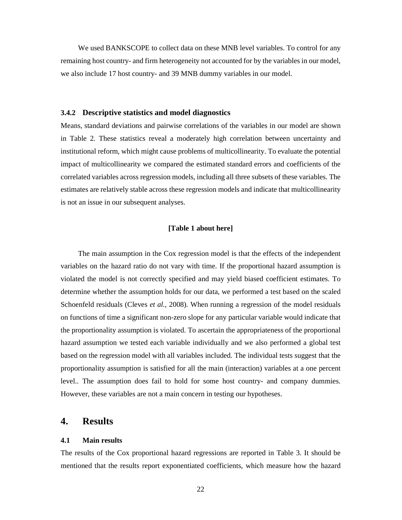We used BANKSCOPE to collect data on these MNB level variables. To control for any remaining host country- and firm heterogeneity not accounted for by the variables in our model, we also include 17 host country- and 39 MNB dummy variables in our model.

#### **3.4.2 Descriptive statistics and model diagnostics**

Means, standard deviations and pairwise correlations of the variables in our model are shown in Table 2. These statistics reveal a moderately high correlation between uncertainty and institutional reform, which might cause problems of multicollinearity. To evaluate the potential impact of multicollinearity we compared the estimated standard errors and coefficients of the correlated variables across regression models, including all three subsets of these variables. The estimates are relatively stable across these regression models and indicate that multicollinearity is not an issue in our subsequent analyses.

## **[Table 1 about here]**

The main assumption in the Cox regression model is that the effects of the independent variables on the hazard ratio do not vary with time. If the proportional hazard assumption is violated the model is not correctly specified and may yield biased coefficient estimates. To determine whether the assumption holds for our data, we performed a test based on the scaled Schoenfeld residuals (Cleves *et al.,* 2008). When running a regression of the model residuals on functions of time a significant non-zero slope for any particular variable would indicate that the proportionality assumption is violated. To ascertain the appropriateness of the proportional hazard assumption we tested each variable individually and we also performed a global test based on the regression model with all variables included. The individual tests suggest that the proportionality assumption is satisfied for all the main (interaction) variables at a one percent level.. The assumption does fail to hold for some host country- and company dummies. However, these variables are not a main concern in testing our hypotheses.

# **4. Results**

#### **4.1 Main results**

The results of the Cox proportional hazard regressions are reported in Table 3. It should be mentioned that the results report exponentiated coefficients, which measure how the hazard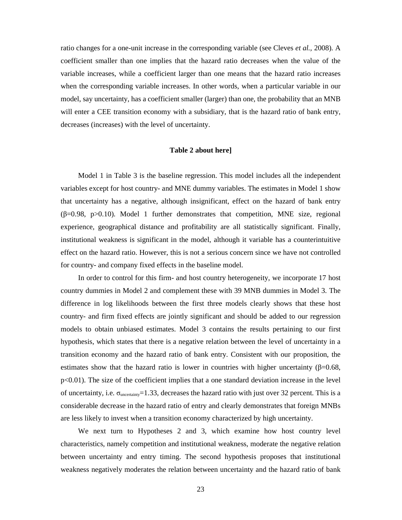ratio changes for a one-unit increase in the corresponding variable (see Cleves *et al.,* 2008). A coefficient smaller than one implies that the hazard ratio decreases when the value of the variable increases, while a coefficient larger than one means that the hazard ratio increases when the corresponding variable increases. In other words, when a particular variable in our model, say uncertainty, has a coefficient smaller (larger) than one, the probability that an MNB will enter a CEE transition economy with a subsidiary, that is the hazard ratio of bank entry, decreases (increases) with the level of uncertainty.

#### **Table 2 about here]**

Model 1 in Table 3 is the baseline regression. This model includes all the independent variables except for host country- and MNE dummy variables. The estimates in Model 1 show that uncertainty has a negative, although insignificant, effect on the hazard of bank entry  $(\beta=0.98, p>0.10)$ . Model 1 further demonstrates that competition, MNE size, regional experience, geographical distance and profitability are all statistically significant. Finally, institutional weakness is significant in the model, although it variable has a counterintuitive effect on the hazard ratio. However, this is not a serious concern since we have not controlled for country- and company fixed effects in the baseline model.

In order to control for this firm- and host country heterogeneity, we incorporate 17 host country dummies in Model 2 and complement these with 39 MNB dummies in Model 3. The difference in log likelihoods between the first three models clearly shows that these host country- and firm fixed effects are jointly significant and should be added to our regression models to obtain unbiased estimates. Model 3 contains the results pertaining to our first hypothesis, which states that there is a negative relation between the level of uncertainty in a transition economy and the hazard ratio of bank entry. Consistent with our proposition, the estimates show that the hazard ratio is lower in countries with higher uncertainty ( $\beta$ =0.68,  $p<0.01$ ). The size of the coefficient implies that a one standard deviation increase in the level of uncertainty, i.e.  $\sigma_{\text{uncertainty}} = 1.33$ , decreases the hazard ratio with just over 32 percent. This is a considerable decrease in the hazard ratio of entry and clearly demonstrates that foreign MNBs are less likely to invest when a transition economy characterized by high uncertainty.

We next turn to Hypotheses 2 and 3, which examine how host country level characteristics, namely competition and institutional weakness, moderate the negative relation between uncertainty and entry timing. The second hypothesis proposes that institutional weakness negatively moderates the relation between uncertainty and the hazard ratio of bank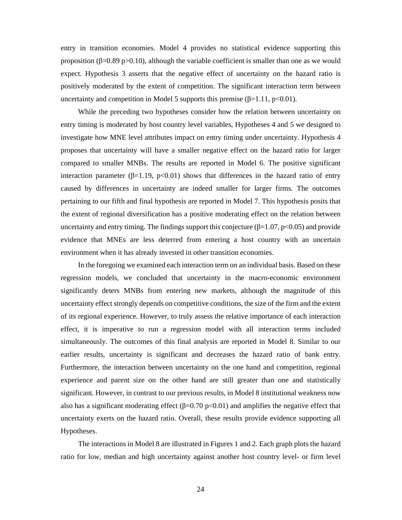entry in transition economies. Model 4 provides no statistical evidence supporting this proposition (β=0.89 p>0.10), although the variable coefficient is smaller than one as we would expect. Hypothesis 3 asserts that the negative effect of uncertainty on the hazard ratio is positively moderated by the extent of competition. The significant interaction term between uncertainty and competition in Model 5 supports this premise (β=1.11, p<0.01).

While the preceding two hypotheses consider how the relation between uncertainty on entry timing is moderated by host country level variables, Hypotheses 4 and 5 we designed to investigate how MNE level attributes impact on entry timing under uncertainty. Hypothesis 4 proposes that uncertainty will have a smaller negative effect on the hazard ratio for larger compared to smaller MNBs. The results are reported in Model 6. The positive significant interaction parameter ( $\beta$ =1.19, p<0.01) shows that differences in the hazard ratio of entry caused by differences in uncertainty are indeed smaller for larger firms. The outcomes pertaining to our fifth and final hypothesis are reported in Model 7. This hypothesis posits that the extent of regional diversification has a positive moderating effect on the relation between uncertainty and entry timing. The findings support this conjecture ( $\beta$ =1.07, p<0.05) and provide evidence that MNEs are less deterred from entering a host country with an uncertain environment when it has already invested in other transition economies.

In the foregoing we examined each interaction term on an individual basis. Based on these regression models, we concluded that uncertainty in the macro-economic environment significantly deters MNBs from entering new markets, although the magnitude of this uncertainty effect strongly depends on competitive conditions, the size of the firm and the extent of its regional experience. However, to truly assess the relative importance of each interaction effect, it is imperative to run a regression model with all interaction terms included simultaneously. The outcomes of this final analysis are reported in Model 8. Similar to our earlier results, uncertainty is significant and decreases the hazard ratio of bank entry. Furthermore, the interaction between uncertainty on the one hand and competition, regional experience and parent size on the other hand are still greater than one and statistically significant. However, in contrast to our previous results, in Model 8 institutional weakness now also has a significant moderating effect ( $\beta$ =0.70 p<0.01) and amplifies the negative effect that uncertainty exerts on the hazard ratio. Overall, these results provide evidence supporting all Hypotheses.

The interactions in Model 8 are illustrated in Figures 1 and 2. Each graph plots the hazard ratio for low, median and high uncertainty against another host country level- or firm level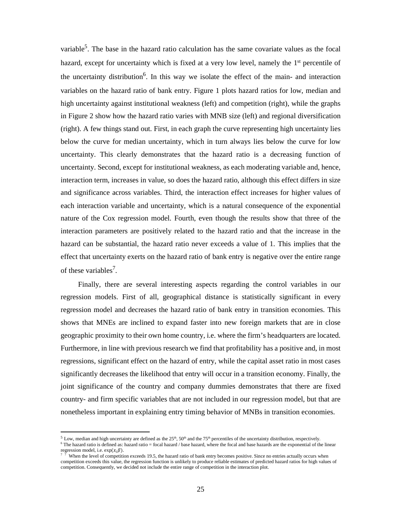variable<sup>5</sup>. The base in the hazard ratio calculation has the same covariate values as the focal hazard, except for uncertainty which is fixed at a very low level, namely the 1<sup>st</sup> percentile of the uncertainty distribution<sup>6</sup>. In this way we isolate the effect of the main- and interaction variables on the hazard ratio of bank entry. Figure 1 plots hazard ratios for low, median and high uncertainty against institutional weakness (left) and competition (right), while the graphs in Figure 2 show how the hazard ratio varies with MNB size (left) and regional diversification (right). A few things stand out. First, in each graph the curve representing high uncertainty lies below the curve for median uncertainty, which in turn always lies below the curve for low uncertainty. This clearly demonstrates that the hazard ratio is a decreasing function of uncertainty. Second, except for institutional weakness, as each moderating variable and, hence, interaction term, increases in value, so does the hazard ratio, although this effect differs in size and significance across variables. Third, the interaction effect increases for higher values of each interaction variable and uncertainty, which is a natural consequence of the exponential nature of the Cox regression model. Fourth, even though the results show that three of the interaction parameters are positively related to the hazard ratio and that the increase in the hazard can be substantial, the hazard ratio never exceeds a value of 1. This implies that the effect that uncertainty exerts on the hazard ratio of bank entry is negative over the entire range of these variables<sup>7</sup>.

Finally, there are several interesting aspects regarding the control variables in our regression models. First of all, geographical distance is statistically significant in every regression model and decreases the hazard ratio of bank entry in transition economies. This shows that MNEs are inclined to expand faster into new foreign markets that are in close geographic proximity to their own home country, i.e. where the firm's headquarters are located. Furthermore, in line with previous research we find that profitability has a positive and, in most regressions, significant effect on the hazard of entry, while the capital asset ratio in most cases significantly decreases the likelihood that entry will occur in a transition economy. Finally, the joint significance of the country and company dummies demonstrates that there are fixed country- and firm specific variables that are not included in our regression model, but that are nonetheless important in explaining entry timing behavior of MNBs in transition economies.

1

<sup>&</sup>lt;sup>5</sup> Low, median and high uncertainty are defined as the  $25<sup>th</sup>$ ,  $50<sup>th</sup>$  and the  $75<sup>th</sup>$  percentiles of the uncertainty distribution, respectively. 6 The hazard ratio is defined as: hazard ratio = focal hazard / base hazard, where the focal and base hazards are the exponential of the linear

regression model, i.e.  $\exp(x_i \beta)$ .<br><sup>7</sup> T When the level of competition exceeds 19.5, the hazard ratio of bank entry becomes positive. Since no entries actually occurs when competition exceeds this value, the regression function is unlikely to produce reliable estimates of predicted hazard ratios for high values of competition. Consequently, we decided not include the entire range of competition in the interaction plot.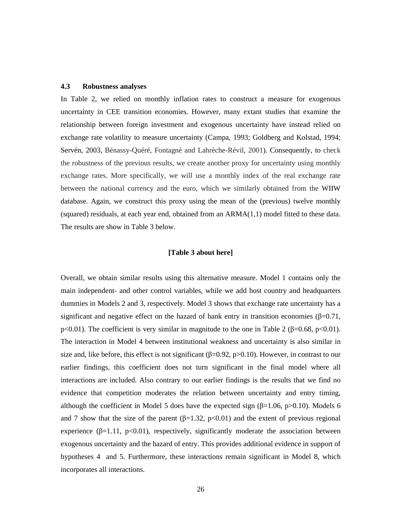# **4.3 Robustness analyses**

In Table 2, we relied on monthly inflation rates to construct a measure for exogenous uncertainty in CEE transition economies. However, many extant studies that examine the relationship between foreign investment and exogenous uncertainty have instead relied on exchange rate volatility to measure uncertainty (Campa, 1993; Goldberg and Kolstad, 1994; Servén, 2003, Bénassy-Quéré, Fontagné and Lahrèche-Révil, 2001). Consequently, to check the robustness of the previous results, we create another proxy for uncertainty using monthly exchange rates. More specifically, we will use a monthly index of the real exchange rate between the national currency and the euro, which we similarly obtained from the WIIW database. Again, we construct this proxy using the mean of the (previous) twelve monthly (squared) residuals, at each year end, obtained from an  $ARMA(1,1)$  model fitted to these data. The results are show in Table 3 below.

#### **[Table 3 about here]**

Overall, we obtain similar results using this alternative measure. Model 1 contains only the main independent- and other control variables, while we add host country and headquarters dummies in Models 2 and 3, respectively. Model 3 shows that exchange rate uncertainty has a significant and negative effect on the hazard of bank entry in transition economies ( $\beta$ =0.71, p<0.01). The coefficient is very similar in magnitude to the one in Table 2 ( $\beta$ =0.68, p<0.01). The interaction in Model 4 between institutional weakness and uncertainty is also similar in size and, like before, this effect is not significant ( $\beta$ =0.92, p>0.10). However, in contrast to our earlier findings, this coefficient does not turn significant in the final model where all interactions are included. Also contrary to our earlier findings is the results that we find no evidence that competition moderates the relation between uncertainty and entry timing, although the coefficient in Model 5 does have the expected sign ( $\beta$ =1.06, p>0.10). Models 6 and 7 show that the size of the parent ( $\beta$ =1.32, p<0.01) and the extent of previous regional experience ( $\beta$ =1.11, p<0.01), respectively, significantly moderate the association between exogenous uncertainty and the hazard of entry. This provides additional evidence in support of hypotheses 4 and 5. Furthermore, these interactions remain significant in Model 8, which incorporates all interactions.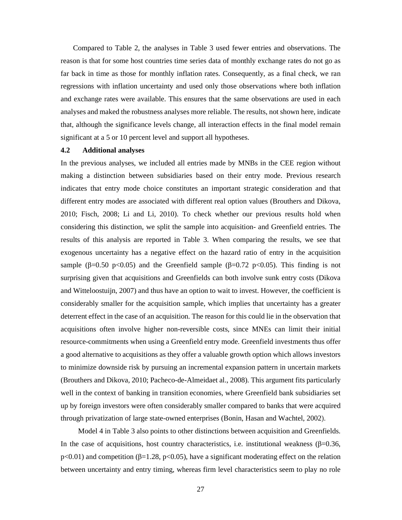Compared to Table 2, the analyses in Table 3 used fewer entries and observations. The reason is that for some host countries time series data of monthly exchange rates do not go as far back in time as those for monthly inflation rates. Consequently, as a final check, we ran regressions with inflation uncertainty and used only those observations where both inflation and exchange rates were available. This ensures that the same observations are used in each analyses and maked the robustness analyses more reliable. The results, not shown here, indicate that, although the significance levels change, all interaction effects in the final model remain significant at a 5 or 10 percent level and support all hypotheses.

#### **4.2 Additional analyses**

In the previous analyses, we included all entries made by MNBs in the CEE region without making a distinction between subsidiaries based on their entry mode. Previous research indicates that entry mode choice constitutes an important strategic consideration and that different entry modes are associated with different real option values (Brouthers and Dikova, 2010; Fisch, 2008; Li and Li, 2010). To check whether our previous results hold when considering this distinction, we split the sample into acquisition- and Greenfield entries. The results of this analysis are reported in Table 3. When comparing the results, we see that exogenous uncertainty has a negative effect on the hazard ratio of entry in the acquisition sample ( $\beta$ =0.50 p<0.05) and the Greenfield sample ( $\beta$ =0.72 p<0.05). This finding is not surprising given that acquisitions and Greenfields can both involve sunk entry costs (Dikova and Witteloostuijn, 2007) and thus have an option to wait to invest. However, the coefficient is considerably smaller for the acquisition sample, which implies that uncertainty has a greater deterrent effect in the case of an acquisition. The reason for this could lie in the observation that acquisitions often involve higher non-reversible costs, since MNEs can limit their initial resource-commitments when using a Greenfield entry mode. Greenfield investments thus offer a good alternative to acquisitions as they offer a valuable growth option which allows investors to minimize downside risk by pursuing an incremental expansion pattern in uncertain markets (Brouthers and Dikova, 2010; Pacheco-de-Almeidaet al., 2008). This argument fits particularly well in the context of banking in transition economies, where Greenfield bank subsidiaries set up by foreign investors were often considerably smaller compared to banks that were acquired through privatization of large state-owned enterprises (Bonin, Hasan and Wachtel, 2002).

Model 4 in Table 3 also points to other distinctions between acquisition and Greenfields. In the case of acquisitions, host country characteristics, i.e. institutional weakness ( $\beta$ =0.36,  $p<0.01$ ) and competition ( $\beta=1.28$ ,  $p<0.05$ ), have a significant moderating effect on the relation between uncertainty and entry timing, whereas firm level characteristics seem to play no role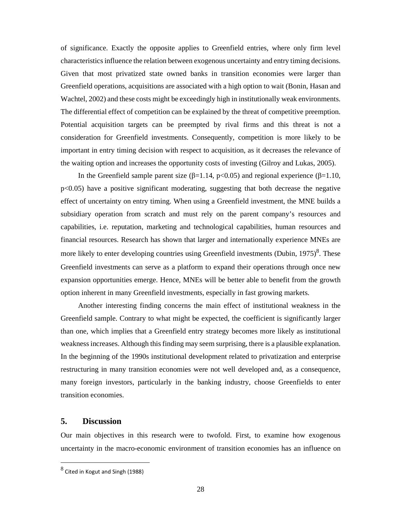of significance. Exactly the opposite applies to Greenfield entries, where only firm level characteristics influence the relation between exogenous uncertainty and entry timing decisions. Given that most privatized state owned banks in transition economies were larger than Greenfield operations, acquisitions are associated with a high option to wait (Bonin, Hasan and Wachtel, 2002) and these costs might be exceedingly high in institutionally weak environments. The differential effect of competition can be explained by the threat of competitive preemption. Potential acquisition targets can be preempted by rival firms and this threat is not a consideration for Greenfield investments. Consequently, competition is more likely to be important in entry timing decision with respect to acquisition, as it decreases the relevance of the waiting option and increases the opportunity costs of investing (Gilroy and Lukas, 2005).

In the Greenfield sample parent size (β=1.14, p<0.05) and regional experience (β=1.10,  $p<0.05$ ) have a positive significant moderating, suggesting that both decrease the negative effect of uncertainty on entry timing. When using a Greenfield investment, the MNE builds a subsidiary operation from scratch and must rely on the parent company's resources and capabilities, i.e. reputation, marketing and technological capabilities, human resources and financial resources. Research has shown that larger and internationally experience MNEs are more likely to enter developing countries using Greenfield investments (Dubin,  $1975)^8$ . These Greenfield investments can serve as a platform to expand their operations through once new expansion opportunities emerge. Hence, MNEs will be better able to benefit from the growth option inherent in many Greenfield investments, especially in fast growing markets.

Another interesting finding concerns the main effect of institutional weakness in the Greenfield sample. Contrary to what might be expected, the coefficient is significantly larger than one, which implies that a Greenfield entry strategy becomes more likely as institutional weakness increases. Although this finding may seem surprising, there is a plausible explanation. In the beginning of the 1990s institutional development related to privatization and enterprise restructuring in many transition economies were not well developed and, as a consequence, many foreign investors, particularly in the banking industry, choose Greenfields to enter transition economies.

# **5. Discussion**

l,

Our main objectives in this research were to twofold. First, to examine how exogenous uncertainty in the macro-economic environment of transition economies has an influence on

 $^8$  Cited in Kogut and Singh (1988)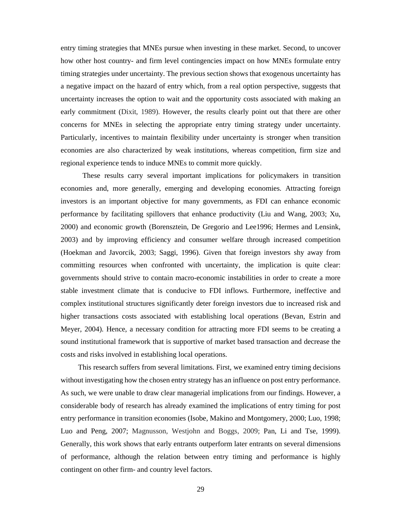entry timing strategies that MNEs pursue when investing in these market. Second, to uncover how other host country- and firm level contingencies impact on how MNEs formulate entry timing strategies under uncertainty. The previous section shows that exogenous uncertainty has a negative impact on the hazard of entry which, from a real option perspective, suggests that uncertainty increases the option to wait and the opportunity costs associated with making an early commitment (Dixit, 1989). However, the results clearly point out that there are other concerns for MNEs in selecting the appropriate entry timing strategy under uncertainty. Particularly, incentives to maintain flexibility under uncertainty is stronger when transition economies are also characterized by weak institutions, whereas competition, firm size and regional experience tends to induce MNEs to commit more quickly.

 These results carry several important implications for policymakers in transition economies and, more generally, emerging and developing economies. Attracting foreign investors is an important objective for many governments, as FDI can enhance economic performance by facilitating spillovers that enhance productivity (Liu and Wang, 2003; Xu, 2000) and economic growth (Borensztein, De Gregorio and Lee1996; Hermes and Lensink, 2003) and by improving efficiency and consumer welfare through increased competition (Hoekman and Javorcik, 2003; Saggi, 1996). Given that foreign investors shy away from committing resources when confronted with uncertainty, the implication is quite clear: governments should strive to contain macro-economic instabilities in order to create a more stable investment climate that is conducive to FDI inflows. Furthermore, ineffective and complex institutional structures significantly deter foreign investors due to increased risk and higher transactions costs associated with establishing local operations (Bevan, Estrin and Meyer, 2004). Hence, a necessary condition for attracting more FDI seems to be creating a sound institutional framework that is supportive of market based transaction and decrease the costs and risks involved in establishing local operations.

This research suffers from several limitations. First, we examined entry timing decisions without investigating how the chosen entry strategy has an influence on post entry performance. As such, we were unable to draw clear managerial implications from our findings. However, a considerable body of research has already examined the implications of entry timing for post entry performance in transition economies (Isobe, Makino and Montgomery, 2000; Luo, 1998; Luo and Peng, 2007; Magnusson, Westjohn and Boggs, 2009; Pan, Li and Tse, 1999). Generally, this work shows that early entrants outperform later entrants on several dimensions of performance, although the relation between entry timing and performance is highly contingent on other firm- and country level factors.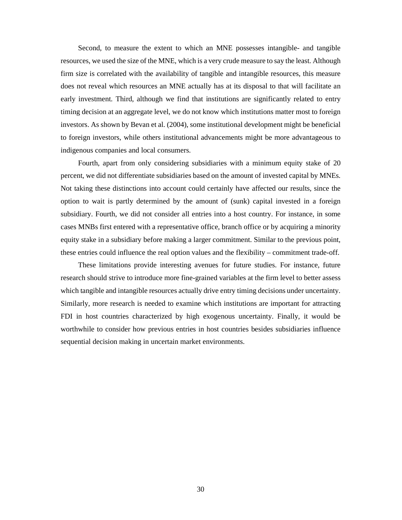Second, to measure the extent to which an MNE possesses intangible- and tangible resources, we used the size of the MNE, which is a very crude measure to say the least. Although firm size is correlated with the availability of tangible and intangible resources, this measure does not reveal which resources an MNE actually has at its disposal to that will facilitate an early investment. Third, although we find that institutions are significantly related to entry timing decision at an aggregate level, we do not know which institutions matter most to foreign investors. As shown by Bevan et al. (2004), some institutional development might be beneficial to foreign investors, while others institutional advancements might be more advantageous to indigenous companies and local consumers.

Fourth, apart from only considering subsidiaries with a minimum equity stake of 20 percent, we did not differentiate subsidiaries based on the amount of invested capital by MNEs. Not taking these distinctions into account could certainly have affected our results, since the option to wait is partly determined by the amount of (sunk) capital invested in a foreign subsidiary. Fourth, we did not consider all entries into a host country. For instance, in some cases MNBs first entered with a representative office, branch office or by acquiring a minority equity stake in a subsidiary before making a larger commitment. Similar to the previous point, these entries could influence the real option values and the flexibility – commitment trade-off.

These limitations provide interesting avenues for future studies. For instance, future research should strive to introduce more fine-grained variables at the firm level to better assess which tangible and intangible resources actually drive entry timing decisions under uncertainty. Similarly, more research is needed to examine which institutions are important for attracting FDI in host countries characterized by high exogenous uncertainty. Finally, it would be worthwhile to consider how previous entries in host countries besides subsidiaries influence sequential decision making in uncertain market environments.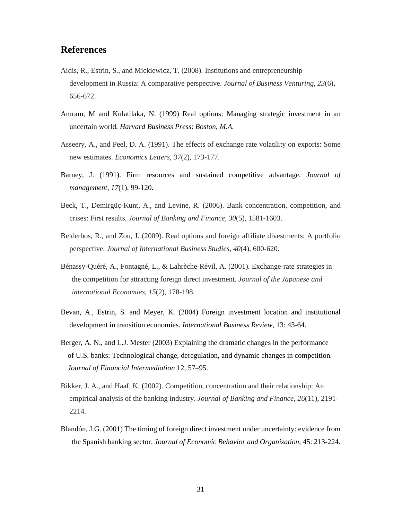# **References**

- Aidis, R., Estrin, S., and Mickiewicz, T. (2008). Institutions and entrepreneurship development in Russia: A comparative perspective. *Journal of Business Venturing*, *23*(6), 656-672.
- Amram, M and Kulatilaka, N. (1999) Real options: Managing strategic investment in an uncertain world. *Harvard Business Press*: *Boston, M.A.*
- Asseery, A., and Peel, D. A. (1991). The effects of exchange rate volatility on exports: Some new estimates. *Economics Letters*, *37*(2), 173-177.
- Barney, J. (1991). Firm resources and sustained competitive advantage. *Journal of management*, *17*(1), 99-120.
- Beck, T., Demirgüç-Kunt, A., and Levine, R. (2006). Bank concentration, competition, and crises: First results. *Journal of Banking and Finance*, *30*(5), 1581-1603.
- Belderbos, R., and Zou, J. (2009). Real options and foreign affiliate divestments: A portfolio perspective. *Journal of International Business Studies*, *40*(4), 600-620.
- Bénassy-Quéré, A., Fontagné, L., & Lahrèche-Révil, A. (2001). Exchange-rate strategies in the competition for attracting foreign direct investment. *Journal of the Japanese and international Economies*, *15*(2), 178-198.
- Bevan, A., Estrin, S. and Meyer, K. (2004) Foreign investment location and institutional development in transition economies. *International Business Review*, 13: 43-64.
- Berger, A. N., and L.J. Mester (2003) Explaining the dramatic changes in the performance of U.S. banks: Technological change, deregulation, and dynamic changes in competition. *Journal of Financial Intermediation* 12, 57–95.
- Bikker, J. A., and Haaf, K. (2002). Competition, concentration and their relationship: An empirical analysis of the banking industry. *Journal of Banking and Finance*, *26*(11), 2191- 2214.
- Blandón, J.G. (2001) The timing of foreign direct investment under uncertainty: evidence from the Spanish banking sector. *Journal of Economic Behavior and Organization*, 45: 213-224.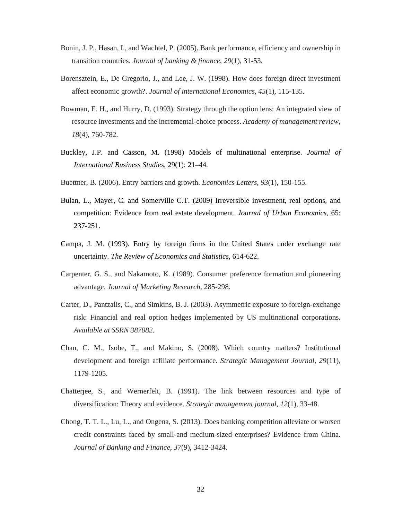- Bonin, J. P., Hasan, I., and Wachtel, P. (2005). Bank performance, efficiency and ownership in transition countries. *Journal of banking & finance*, *29*(1), 31-53.
- Borensztein, E., De Gregorio, J., and Lee, J. W. (1998). How does foreign direct investment affect economic growth?. *Journal of international Economics*, *45*(1), 115-135.
- Bowman, E. H., and Hurry, D. (1993). Strategy through the option lens: An integrated view of resource investments and the incremental-choice process. *Academy of management review*, *18*(4), 760-782.
- Buckley, J.P. and Casson, M. (1998) Models of multinational enterprise. *Journal of International Business Studies*, 29(1): 21–44.
- Buettner, B. (2006). Entry barriers and growth. *Economics Letters*, *93*(1), 150-155.
- Bulan, L., Mayer, C. and Somerville C.T. (2009) Irreversible investment, real options, and competition: Evidence from real estate development. *Journal of Urban Economics,* 65: 237-251.
- Campa, J. M. (1993). Entry by foreign firms in the United States under exchange rate uncertainty. *The Review of Economics and Statistics*, 614-622.
- Carpenter, G. S., and Nakamoto, K. (1989). Consumer preference formation and pioneering advantage. *Journal of Marketing Research*, 285-298.
- Carter, D., Pantzalis, C., and Simkins, B. J. (2003). Asymmetric exposure to foreign-exchange risk: Financial and real option hedges implemented by US multinational corporations. *Available at SSRN 387082*.
- Chan, C. M., Isobe, T., and Makino, S. (2008). Which country matters? Institutional development and foreign affiliate performance. *Strategic Management Journal*, *29*(11), 1179-1205.
- Chatterjee, S., and Wernerfelt, B. (1991). The link between resources and type of diversification: Theory and evidence. *Strategic management journal*, *12*(1), 33-48.
- Chong, T. T. L., Lu, L., and Ongena, S. (2013). Does banking competition alleviate or worsen credit constraints faced by small-and medium-sized enterprises? Evidence from China. *Journal of Banking and Finance*, *37*(9), 3412-3424.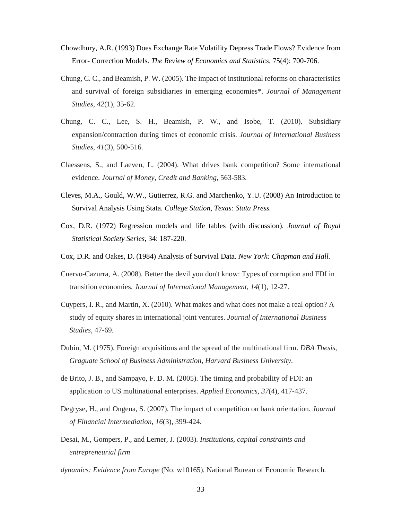- Chowdhury, A.R. (1993) Does Exchange Rate Volatility Depress Trade Flows? Evidence from Error- Correction Models. *The Review of Economics and Statistics*, 75(4): 700-706.
- Chung, C. C., and Beamish, P. W. (2005). The impact of institutional reforms on characteristics and survival of foreign subsidiaries in emerging economies\*. *Journal of Management Studies*, *42*(1), 35-62.
- Chung, C. C., Lee, S. H., Beamish, P. W., and Isobe, T. (2010). Subsidiary expansion/contraction during times of economic crisis. *Journal of International Business Studies*, *41*(3), 500-516.
- Claessens, S., and Laeven, L. (2004). What drives bank competition? Some international evidence. *Journal of Money, Credit and Banking*, 563-583.
- Cleves, M.A., Gould, W.W., Gutierrez, R.G. and Marchenko, Y.U. (2008) An Introduction to Survival Analysis Using Stata. *College Station, Texas: Stata Press.*
- Cox, D.R. (1972) Regression models and life tables (with discussion). *Journal of Royal Statistical Society Series*, 34: 187-220.
- Cox, D.R. and Oakes, D. (1984) Analysis of Survival Data. *New York: Chapman and Hall.*
- Cuervo-Cazurra, A. (2008). Better the devil you don't know: Types of corruption and FDI in transition economies. *Journal of International Management*, *14*(1), 12-27.
- Cuypers, I. R., and Martin, X. (2010). What makes and what does not make a real option? A study of equity shares in international joint ventures. *Journal of International Business Studies*, 47-69.
- Dubin, M. (1975). Foreign acquisitions and the spread of the multinational firm. *DBA Thesis, Graguate School of Business Administration, Harvard Business University*.
- de Brito, J. B., and Sampayo, F. D. M. (2005). The timing and probability of FDI: an application to US multinational enterprises. *Applied Economics*, *37*(4), 417-437.
- Degryse, H., and Ongena, S. (2007). The impact of competition on bank orientation. *Journal of Financial Intermediation*, *16*(3), 399-424.
- Desai, M., Gompers, P., and Lerner, J. (2003). *Institutions, capital constraints and entrepreneurial firm*
- *dynamics: Evidence from Europe* (No. w10165). National Bureau of Economic Research.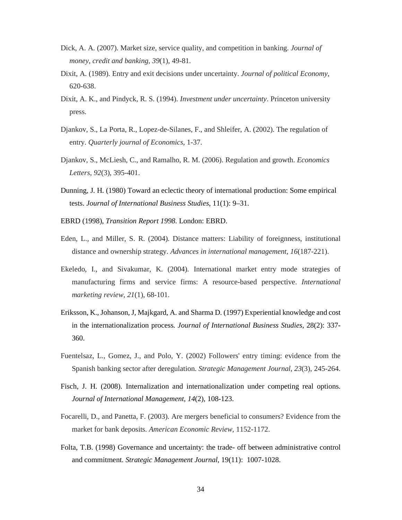- Dick, A. A. (2007). Market size, service quality, and competition in banking. *Journal of money, credit and banking*, *39*(1), 49-81.
- Dixit, A. (1989). Entry and exit decisions under uncertainty. *Journal of political Economy*, 620-638.
- Dixit, A. K., and Pindyck, R. S. (1994). *Investment under uncertainty*. Princeton university press.
- Djankov, S., La Porta, R., Lopez-de-Silanes, F., and Shleifer, A. (2002). The regulation of entry. *Quarterly journal of Economics*, 1-37.
- Djankov, S., McLiesh, C., and Ramalho, R. M. (2006). Regulation and growth. *Economics Letters*, *92*(3), 395-401.
- Dunning, J. H. (1980) Toward an eclectic theory of international production: Some empirical tests. *Journal of International Business Studies*, 11(1): 9–31.
- EBRD (1998), *Transition Report 1998*. London: EBRD.
- Eden, L., and Miller, S. R. (2004). Distance matters: Liability of foreignness, institutional distance and ownership strategy. *Advances in international management*, *16*(187-221).
- Ekeledo, I., and Sivakumar, K. (2004). International market entry mode strategies of manufacturing firms and service firms: A resource-based perspective. *International marketing review*, *21*(1), 68-101.
- Eriksson, K., Johanson, J, Majkgard, A. and Sharma D. (1997) Experiential knowledge and cost in the internationalization process. *Journal of International Business Studies*, 28(2): 337- 360.
- Fuentelsaz, L., Gomez, J., and Polo, Y. (2002) Followers' entry timing: evidence from the Spanish banking sector after deregulation. *Strategic Management Journal*, *23*(3), 245-264.
- Fisch, J. H. (2008). Internalization and internationalization under competing real options. *Journal of International Management*, *14*(2), 108-123.
- Focarelli, D., and Panetta, F. (2003). Are mergers beneficial to consumers? Evidence from the market for bank deposits. *American Economic Review*, 1152-1172.
- Folta, T.B. (1998) Governance and uncertainty: the trade- off between administrative control and commitment. *Strategic Management Journal,* 19(11): 1007-1028.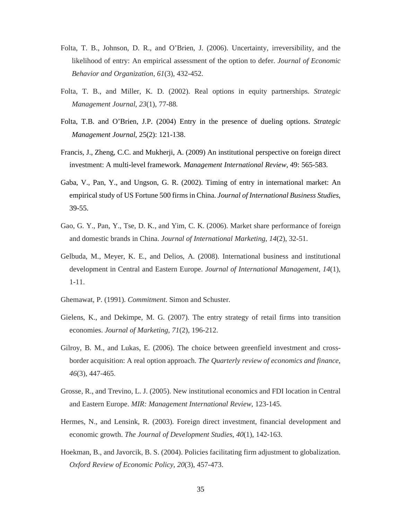- Folta, T. B., Johnson, D. R., and O'Brien, J. (2006). Uncertainty, irreversibility, and the likelihood of entry: An empirical assessment of the option to defer. *Journal of Economic Behavior and Organization*, *61*(3), 432-452.
- Folta, T. B., and Miller, K. D. (2002). Real options in equity partnerships. *Strategic Management Journal*, *23*(1), 77-88.
- Folta, T.B. and O'Brien, J.P. (2004) Entry in the presence of dueling options. *Strategic Management Journal*, 25(2): 121-138.
- Francis, J., Zheng, C.C. and Mukherji, A. (2009) An institutional perspective on foreign direct investment: A multi-level framework*. Management International Review,* 49: 565-583.
- Gaba, V., Pan, Y., and Ungson, G. R. (2002). Timing of entry in international market: An empirical study of US Fortune 500 firms in China. *Journal of International Business Studies*, 39-55.
- Gao, G. Y., Pan, Y., Tse, D. K., and Yim, C. K. (2006). Market share performance of foreign and domestic brands in China. *Journal of International Marketing*, *14*(2), 32-51.
- Gelbuda, M., Meyer, K. E., and Delios, A. (2008). International business and institutional development in Central and Eastern Europe. *Journal of International Management*, *14*(1), 1-11.
- Ghemawat, P. (1991). *Commitment*. Simon and Schuster.
- Gielens, K., and Dekimpe, M. G. (2007). The entry strategy of retail firms into transition economies. *Journal of Marketing*, *71*(2), 196-212.
- Gilroy, B. M., and Lukas, E. (2006). The choice between greenfield investment and crossborder acquisition: A real option approach. *The Quarterly review of economics and finance*, *46*(3), 447-465.
- Grosse, R., and Trevino, L. J. (2005). New institutional economics and FDI location in Central and Eastern Europe. *MIR: Management International Review*, 123-145.
- Hermes, N., and Lensink, R. (2003). Foreign direct investment, financial development and economic growth. *The Journal of Development Studies*, *40*(1), 142-163.
- Hoekman, B., and Javorcik, B. S. (2004). Policies facilitating firm adjustment to globalization. *Oxford Review of Economic Policy*, *20*(3), 457-473.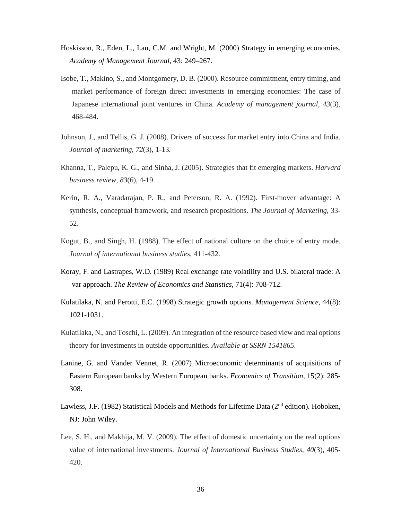- Hoskisson, R., Eden, L., Lau, C.M. and Wright, M. (2000) Strategy in emerging economies. *Academy of Management Journal,* 43: 249–267.
- Isobe, T., Makino, S., and Montgomery, D. B. (2000). Resource commitment, entry timing, and market performance of foreign direct investments in emerging economies: The case of Japanese international joint ventures in China. *Academy of management journal*, *43*(3), 468-484.
- Johnson, J., and Tellis, G. J. (2008). Drivers of success for market entry into China and India. *Journal of marketing*, *72*(3), 1-13.
- Khanna, T., Palepu, K. G., and Sinha, J. (2005). Strategies that fit emerging markets. *Harvard business review*, *83*(6), 4-19.
- Kerin, R. A., Varadarajan, P. R., and Peterson, R. A. (1992). First-mover advantage: A synthesis, conceptual framework, and research propositions. *The Journal of Marketing*, 33- 52.
- Kogut, B., and Singh, H. (1988). The effect of national culture on the choice of entry mode. *Journal of international business studies*, 411-432.
- Koray, F. and Lastrapes, W.D. (1989) Real exchange rate volatility and U.S. bilateral trade: A var approach. *The Review of Economics and Statistics,* 71(4): 708-712.
- Kulatilaka, N. and Perotti, E.C. (1998) Strategic growth options. *Management Science*, 44(8): 1021-1031.
- Kulatilaka, N., and Toschi, L. (2009). An integration of the resource based view and real options theory for investments in outside opportunities. *Available at SSRN 1541865*.
- Lanine, G. and Vander Vennet, R. (2007) Microeconomic determinants of acquisitions of Eastern European banks by Western European banks. *Economics of Transition*, 15(2): 285- 308.
- Lawless, J.F. (1982) Statistical Models and Methods for Lifetime Data (2<sup>nd</sup> edition). Hoboken, NJ: John Wiley.
- Lee, S. H., and Makhija, M. V. (2009). The effect of domestic uncertainty on the real options value of international investments. *Journal of International Business Studies*, *40*(3), 405- 420.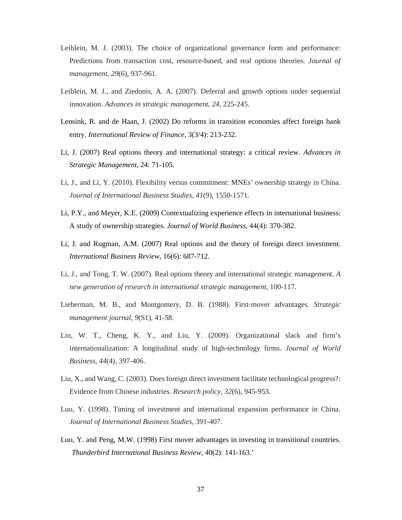- Leiblein, M. J. (2003). The choice of organizational governance form and performance: Predictions from transaction cost, resource-based, and real options theories. *Journal of management*, *29*(6), 937-961.
- Leiblein, M. J., and Ziedonis, A. A. (2007). Deferral and growth options under sequential innovation. *Advances in strategic management*, *24*, 225-245.
- Lensink, R. and de Haan, J. (2002) Do reforms in transition economies affect foreign bank entry. *International Review of Finance*, 3(3/4): 213-232.
- Li, J. (2007) Real options theory and international strategy: a critical review. *Advances in Strategic Management*, 24: 71-105.
- Li, J., and Li, Y. (2010). Flexibility versus commitment: MNEs' ownership strategy in China. *Journal of International Business Studies*, *41*(9), 1550-1571.
- Li, P.Y., and Meyer, K.E. (2009) Contextualizing experience effects in international business: A study of ownership strategies. *Journal of World Business*, 44(4): 370-382.
- Li, J. and Rugman, A.M. (2007) Real options and the theory of foreign direct investment. *International Business Review*, 16(6): 687-712.
- Li, J., and Tong, T. W. (2007). Real options theory and international strategic management. *A new generation of research in international strategic management*, 100-117.
- Lieberman, M. B., and Montgomery, D. B. (1988). First‐mover advantages. *Strategic management journal*, *9*(S1), 41-58.
- Lin, W. T., Cheng, K. Y., and Liu, Y. (2009). Organizational slack and firm's internationalization: A longitudinal study of high-technology firms. *Journal of World Business*, *44*(4), 397-406.
- Liu, X., and Wang, C. (2003). Does foreign direct investment facilitate technological progress?: Evidence from Chinese industries. *Research policy*, *32*(6), 945-953.
- Luo, Y. (1998). Timing of investment and international expansion performance in China. *Journal of International Business Studies*, 391-407.
- Luo, Y. and Peng, M.W. (1998) First mover advantages in investing in transitional countries. *Thunderbird International Business Review*, 40(2): 141-163.'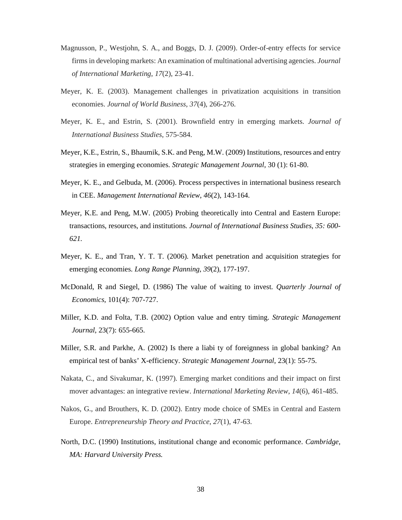- Magnusson, P., Westjohn, S. A., and Boggs, D. J. (2009). Order-of-entry effects for service firms in developing markets: An examination of multinational advertising agencies. *Journal of International Marketing*, *17*(2), 23-41.
- Meyer, K. E. (2003). Management challenges in privatization acquisitions in transition economies. *Journal of World Business*, *37*(4), 266-276.
- Meyer, K. E., and Estrin, S. (2001). Brownfield entry in emerging markets. *Journal of International Business Studies*, 575-584.
- Meyer, K.E., Estrin, S., Bhaumik, S.K. and Peng, M.W. (2009) Institutions, resources and entry strategies in emerging economies. *Strategic Management Journal*, 30 (1): 61-80.
- Meyer, K. E., and Gelbuda, M. (2006). Process perspectives in international business research in CEE. *Management International Review*, *46*(2), 143-164.
- Meyer, K.E. and Peng, M.W. (2005) Probing theoretically into Central and Eastern Europe: transactions, resources, and institutions. *Journal of International Business Studies, 35: 600- 621.*
- Meyer, K. E., and Tran, Y. T. T. (2006). Market penetration and acquisition strategies for emerging economies. *Long Range Planning*, *39*(2), 177-197.
- McDonald, R and Siegel, D. (1986) The value of waiting to invest. *Quarterly Journal of Economics*, 101(4): 707-727.
- Miller, K.D. and Folta, T.B. (2002) Option value and entry timing. *Strategic Management Journal*, 23(7): 655-665.
- Miller, S.R. and Parkhe, A. (2002) Is there a liabi ty of foreignness in global banking? An empirical test of banks' X-efficiency. *Strategic Management Journal*, 23(1): 55-75.
- Nakata, C., and Sivakumar, K. (1997). Emerging market conditions and their impact on first mover advantages: an integrative review. *International Marketing Review*, *14*(6), 461-485.
- Nakos, G., and Brouthers, K. D. (2002). Entry mode choice of SMEs in Central and Eastern Europe. *Entrepreneurship Theory and Practice*, *27*(1), 47-63.
- North, D.C. (1990) Institutions, institutional change and economic performance. *Cambridge, MA: Harvard University Press.*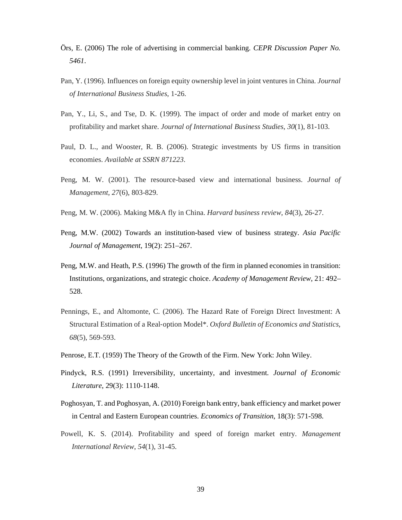- Örs, E. (2006) The role of advertising in commercial banking. *CEPR Discussion Paper No. 5461*.
- Pan, Y. (1996). Influences on foreign equity ownership level in joint ventures in China. *Journal of International Business Studies*, 1-26.
- Pan, Y., Li, S., and Tse, D. K. (1999). The impact of order and mode of market entry on profitability and market share. *Journal of International Business Studies*, *30*(1), 81-103.
- Paul, D. L., and Wooster, R. B. (2006). Strategic investments by US firms in transition economies. *Available at SSRN 871223*.
- Peng, M. W. (2001). The resource-based view and international business. *Journal of Management*, *27*(6), 803-829.
- Peng, M. W. (2006). Making M&A fly in China. *Harvard business review*, *84*(3), 26-27.
- Peng, M.W. (2002) Towards an institution-based view of business strategy. *Asia Pacific Journal of Management*, 19(2): 251–267.
- Peng, M.W. and Heath, P.S. (1996) The growth of the firm in planned economies in transition: Institutions, organizations, and strategic choice. *Academy of Management Review*, 21: 492– 528.
- Pennings, E., and Altomonte, C. (2006). The Hazard Rate of Foreign Direct Investment: A Structural Estimation of a Real‐option Model\*. *Oxford Bulletin of Economics and Statistics*, *68*(5), 569-593.
- Penrose, E.T. (1959) The Theory of the Growth of the Firm. New York: John Wiley.
- Pindyck, R.S. (1991) Irreversibility, uncertainty, and investment. *Journal of Economic Literature*, 29(3): 1110-1148.
- Poghosyan, T. and Poghosyan, A. (2010) Foreign bank entry, bank efficiency and market power in Central and Eastern European countries. *Economics of Transition*, 18(3): 571-598.
- Powell, K. S. (2014). Profitability and speed of foreign market entry. *Management International Review*, *54*(1), 31-45.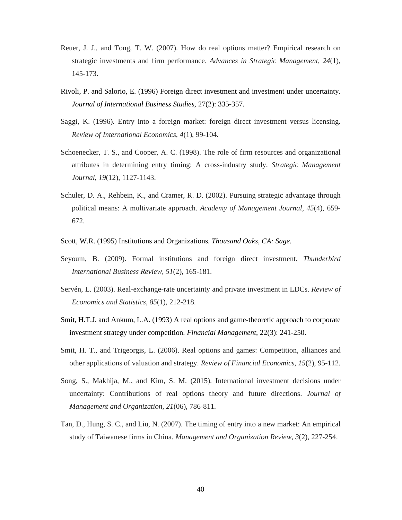- Reuer, J. J., and Tong, T. W. (2007). How do real options matter? Empirical research on strategic investments and firm performance. *Advances in Strategic Management*, *24*(1), 145-173.
- Rivoli, P. and Salorio, E. (1996) Foreign direct investment and investment under uncertainty. *Journal of International Business Studies*, 27(2): 335-357.
- Saggi, K. (1996). Entry into a foreign market: foreign direct investment versus licensing. *Review of International Economics*, *4*(1), 99-104.
- Schoenecker, T. S., and Cooper, A. C. (1998). The role of firm resources and organizational attributes in determining entry timing: A cross-industry study. *Strategic Management Journal*, *19*(12), 1127-1143.
- Schuler, D. A., Rehbein, K., and Cramer, R. D. (2002). Pursuing strategic advantage through political means: A multivariate approach. *Academy of Management Journal*, *45*(4), 659- 672.
- Scott, W.R. (1995) Institutions and Organizations. *Thousand Oaks, CA: Sage.*
- Seyoum, B. (2009). Formal institutions and foreign direct investment. *Thunderbird International Business Review*, *51*(2), 165-181.
- Servén, L. (2003). Real-exchange-rate uncertainty and private investment in LDCs. *Review of Economics and Statistics*, *85*(1), 212-218.
- Smit, H.T.J. and Ankum, L.A. (1993) A real options and game-theoretic approach to corporate investment strategy under competition. *Financial Management*, 22(3): 241-250.
- Smit, H. T., and Trigeorgis, L. (2006). Real options and games: Competition, alliances and other applications of valuation and strategy. *Review of Financial Economics*, *15*(2), 95-112.
- Song, S., Makhija, M., and Kim, S. M. (2015). International investment decisions under uncertainty: Contributions of real options theory and future directions. *Journal of Management and Organization*, *21*(06), 786-811.
- Tan, D., Hung, S. C., and Liu, N. (2007). The timing of entry into a new market: An empirical study of Taiwanese firms in China. *Management and Organization Review*, *3*(2), 227-254.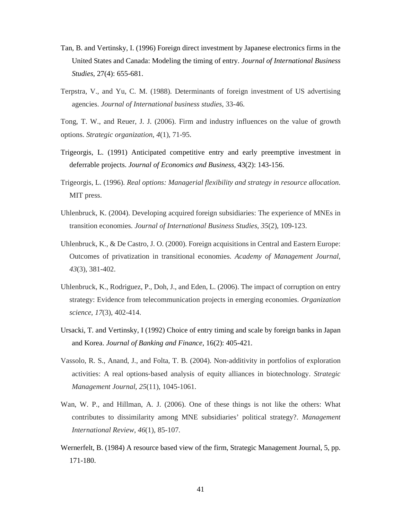- Tan, B. and Vertinsky, I. (1996) Foreign direct investment by Japanese electronics firms in the United States and Canada: Modeling the timing of entry. *Journal of International Business Studies*, 27(4): 655-681.
- Terpstra, V., and Yu, C. M. (1988). Determinants of foreign investment of US advertising agencies. *Journal of International business studies*, 33-46.
- Tong, T. W., and Reuer, J. J. (2006). Firm and industry influences on the value of growth options. *Strategic organization*, *4*(1), 71-95.
- Trigeorgis, L. (1991) Anticipated competitive entry and early preemptive investment in deferrable projects. *Journal of Economics and Business*, 43(2): 143-156.
- Trigeorgis, L. (1996). *Real options: Managerial flexibility and strategy in resource allocation*. MIT press.
- Uhlenbruck, K. (2004). Developing acquired foreign subsidiaries: The experience of MNEs in transition economies. *Journal of International Business Studies*, *35*(2), 109-123.
- Uhlenbruck, K., & De Castro, J. O. (2000). Foreign acquisitions in Central and Eastern Europe: Outcomes of privatization in transitional economies. *Academy of Management Journal*, *43*(3), 381-402.
- Uhlenbruck, K., Rodriguez, P., Doh, J., and Eden, L. (2006). The impact of corruption on entry strategy: Evidence from telecommunication projects in emerging economies. *Organization science*, *17*(3), 402-414.
- Ursacki, T. and Vertinsky, I (1992) Choice of entry timing and scale by foreign banks in Japan and Korea. *Journal of Banking and Finance*, 16(2): 405-421.
- Vassolo, R. S., Anand, J., and Folta, T. B. (2004). Non‐additivity in portfolios of exploration activities: A real options‐based analysis of equity alliances in biotechnology. *Strategic Management Journal*, *25*(11), 1045-1061.
- Wan, W. P., and Hillman, A. J. (2006). One of these things is not like the others: What contributes to dissimilarity among MNE subsidiaries' political strategy?. *Management International Review*, *46*(1), 85-107.
- Wernerfelt, B. (1984) A resource based view of the firm, Strategic Management Journal, 5, pp. 171-180.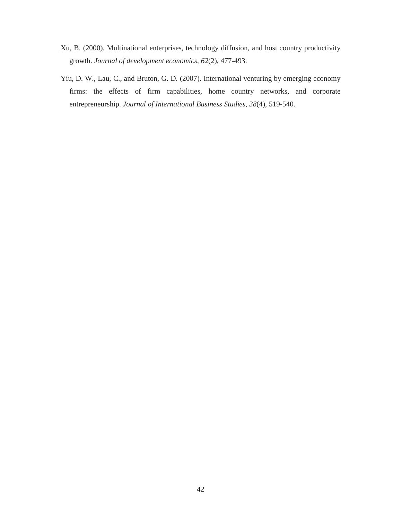- Xu, B. (2000). Multinational enterprises, technology diffusion, and host country productivity growth. *Journal of development economics*, *62*(2), 477-493.
- Yiu, D. W., Lau, C., and Bruton, G. D. (2007). International venturing by emerging economy firms: the effects of firm capabilities, home country networks, and corporate entrepreneurship. *Journal of International Business Studies*, *38*(4), 519-540.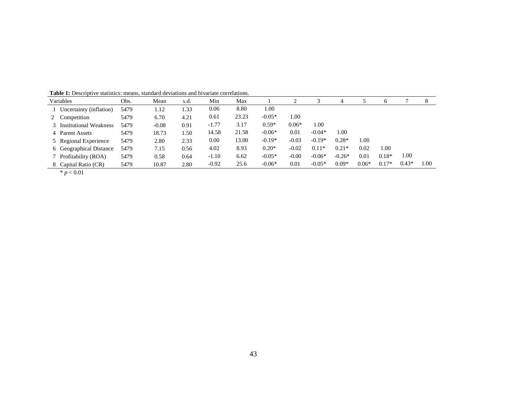| Variables                | Obs. | Mean    | s.d. | Min     | Max   |          | 2       | 3        | 4        |         |         |         | 8    |
|--------------------------|------|---------|------|---------|-------|----------|---------|----------|----------|---------|---------|---------|------|
| Uncertainty (inflation)  | 5479 | 1.12    | 1.33 | 0.06    | 8.80  | 1.00     |         |          |          |         |         |         |      |
| 2 Competition            | 5479 | 6.70    | 4.21 | 0.61    | 23.23 | $-0.05*$ | 1.00    |          |          |         |         |         |      |
| 3 Institutional Weakness | 5479 | $-0.08$ | 0.91 | $-1.77$ | 3.17  | $0.59*$  | $0.06*$ | 1.00     |          |         |         |         |      |
| 4 Parent Assets          | 5479 | 18.73   | 1.50 | 14.58   | 21.58 | $-0.06*$ | 0.01    | $-0.04*$ | 1.00     |         |         |         |      |
| 5 Regional Experience    | 5479 | 2.80    | 2.33 | 0.00    | 13.00 | $-0.19*$ | $-0.03$ | $-0.19*$ | $0.28*$  | 1.00    |         |         |      |
| 6 Geographical Distance  | 5479 | 7.15    | 0.56 | 4.02    | 8.93  | $0.20*$  | $-0.02$ | $0.11*$  | $0.21*$  | 0.02    | 1.00    |         |      |
| 7 Profitability (ROA)    | 5479 | 0.58    | 0.64 | $-1.10$ | 6.62  | $-0.05*$ | $-0.00$ | $-0.06*$ | $-0.26*$ | 0.01    | $0.18*$ | 1.00    |      |
| 8 Capital Ratio (CR)     | 5479 | 10.87   | 2.80 | $-0.92$ | 25.6  | $-0.06*$ | 0.01    | $-0.05*$ | $0.09*$  | $0.06*$ | $0.17*$ | $0.43*$ | 1.00 |
|                          |      |         |      |         |       |          |         |          |          |         |         |         |      |

 $*$   $p < 0.01$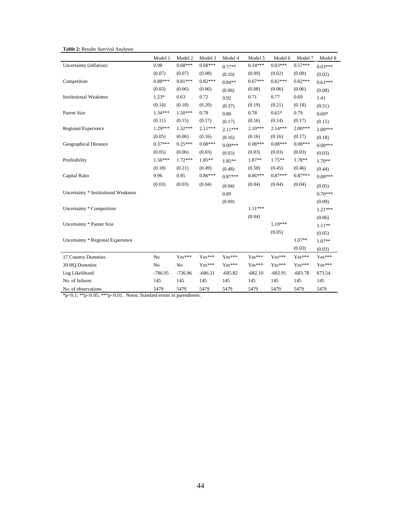| <b>Table 2: Results Survival Analyses</b> |  |  |  |
|-------------------------------------------|--|--|--|
|-------------------------------------------|--|--|--|

|                                      | Model 1        | Model 2   | Model 3   | Model 4   | Model 5   | Model 6   | Model 7   | Model 8   |
|--------------------------------------|----------------|-----------|-----------|-----------|-----------|-----------|-----------|-----------|
| Uncertainty (inflation)              | 0.98           | $0.68***$ | $0.68***$ | $0.77**$  | $0.34***$ | $0.03***$ | $0.57***$ | $0.03***$ |
|                                      | (0.07)         | (0.07)    | (0.08)    | (0.10)    | (0.09)    | (0.02)    | (0.09)    | (0.02)    |
| Competition                          | $0.88***$      | $0.81***$ | $0.82***$ | $0.84**$  | $0.67***$ | $0.82***$ | $0.82***$ | $0.61***$ |
|                                      | (0.03)         | (0.06)    | (0.06)    | (0.06)    | (0.08)    | (0.06)    | (0.06)    | (0.08)    |
| <b>Institutional Weakness</b>        | $1.23*$        | 0.63      | 0.72      | 0.92      | 0.71      | 0.77      | 0.69      | 1.41      |
|                                      | (0.14)         | (0.18)    | (0.20)    | (0.37)    | (0.19)    | (0.21)    | (0.18)    | (0.51)    |
| Parent Size                          | $1.34***$      | $1.50***$ | 0.79      | 0.80      | 0.78      | $0.65*$   | 0.79      | $0.69*$   |
|                                      | (0.11)         | (0.15)    | (0.17)    | (0.17)    | (0.16)    | (0.14)    | (0.17)    | (0.15)    |
| Regional Experience                  | 1.29***        | 1.32***   | 2.11***   | $2.11***$ | $2.10***$ | $2.14***$ | 2.00***   | $2.00***$ |
|                                      | (0.05)         | (0.06)    | (0.16)    | (0.16)    | (0.16)    | (0.16)    | (0.17)    | (0.18)    |
| Geographical Distance                | $0.37***$      | $0.25***$ | $0.08***$ | $0.09***$ | $0.08***$ | $0.08***$ | $0.08***$ | $0.08***$ |
|                                      | (0.05)         | (0.06)    | (0.03)    | (0.03)    | (0.03)    | (0.03)    | (0.03)    | (0.03)    |
| Profitability                        | $1.56***$      | 1.72***   | 1.85**    | 1.85**    | 1.87**    | $1.75**$  | 1.78**    | 1.70**    |
|                                      | (0.18)         | (0.21)    | (0.49)    | (0.48)    | (0.50)    | (0.45)    | (0.46)    | (0.44)    |
| Capital Ratio                        | 0.96           | 0.95      | $0.86***$ | $0.87***$ | $0.86***$ | $0.87***$ | $0.87***$ | $0.88***$ |
|                                      | (0.03)         | (0.03)    | (0.04)    | (0.04)    | (0.04)    | (0.04)    | (0.04)    | (0.05)    |
| Uncertainty * Institutional Weakness |                |           |           | 0.89      |           |           |           | $0.70***$ |
|                                      |                |           |           | (0.09)    |           |           |           | (0.09)    |
| Uncertainty * Competition            |                |           |           |           | $1.11***$ |           |           | $1.21***$ |
|                                      |                |           |           |           | (0.04)    |           |           | (0.06)    |
| Uncertainty * Parent Size            |                |           |           |           |           | $1.19***$ |           | $1.11**$  |
|                                      |                |           |           |           |           | (0.05)    |           | (0.05)    |
| Uncertainty * Regional Experience    |                |           |           |           |           |           | $1.07**$  | $1.07**$  |
|                                      |                |           |           |           |           |           | (0.03)    | (0.03)    |
| 17 Country Dummies                   | No             | Yes***    | Yes***    | Yes***    | Yes***    | Yes***    | Yes***    | Yes***    |
| 39 HQ Dummies                        | N <sub>o</sub> | No        | Yes***    | Yes***    | Yes***    | $Yes***$  | Yes***    | Yes***    |
| Log Likelihood                       | $-786.95$      | $-736.96$ | $-686.31$ | $-685.82$ | $-682.10$ | $-682.91$ | $-683.78$ | 673.54    |
| No. of failures                      | 145            | 145       | 145       | 145       | 145       | 145       | 145       | 145       |
| No. of observations                  | 5479           | 5479      | 5479      | 5479      | 5479      | 5479      | 5479      | 5479      |

\*p<0.1; \*\*p<0.05; \*\*\*p<0.01. Notes: Standard errors in parentheses.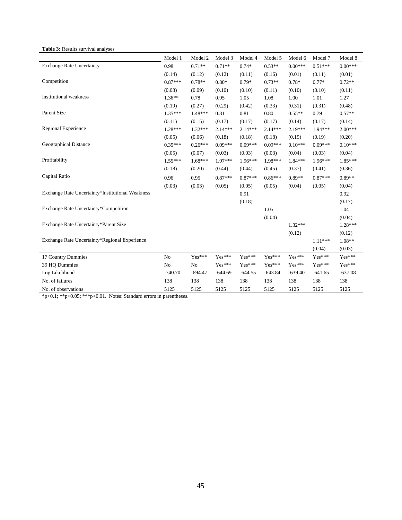**Table 3:** Results survival analyses

|                                                  | Model 1        | Model 2        | Model 3   | Model 4   | Model 5   | Model 6   | Model 7   | Model 8   |
|--------------------------------------------------|----------------|----------------|-----------|-----------|-----------|-----------|-----------|-----------|
| <b>Exchange Rate Uncertainty</b>                 | 0.98           | $0.71**$       | $0.71**$  | $0.74*$   | $0.53**$  | $0.00***$ | $0.51***$ | $0.00***$ |
|                                                  | (0.14)         | (0.12)         | (0.12)    | (0.11)    | (0.16)    | (0.01)    | (0.11)    | (0.01)    |
| Competition                                      | $0.87***$      | $0.78**$       | $0.80*$   | $0.79*$   | $0.73**$  | $0.78*$   | $0.77*$   | $0.72**$  |
|                                                  | (0.03)         | (0.09)         | (0.10)    | (0.10)    | (0.11)    | (0.10)    | (0.10)    | (0.11)    |
| <b>Institutional</b> weakness                    | $1.36**$       | 0.78           | 0.95      | 1.05      | 1.08      | 1.00      | 1.01      | 1.27      |
|                                                  | (0.19)         | (0.27)         | (0.29)    | (0.42)    | (0.33)    | (0.31)    | (0.31)    | (0.48)    |
| Parent Size                                      | $1.35***$      | 1.48***        | 0.81      | 0.81      | 0.80      | $0.55**$  | 0.79      | $0.57**$  |
|                                                  | (0.11)         | (0.15)         | (0.17)    | (0.17)    | (0.17)    | (0.14)    | (0.17)    | (0.14)    |
| Regional Experience                              | $1.28***$      | $1.32***$      | $2.14***$ | $2.14***$ | $2.14***$ | 2.19***   | 1.94 ***  | $2.00***$ |
|                                                  | (0.05)         | (0.06)         | (0.18)    | (0.18)    | (0.18)    | (0.19)    | (0.19)    | (0.20)    |
| Geographical Distance                            | $0.35***$      | $0.26***$      | $0.09***$ | $0.09***$ | $0.09***$ | $0.10***$ | $0.09***$ | $0.10***$ |
|                                                  | (0.05)         | (0.07)         | (0.03)    | (0.03)    | (0.03)    | (0.04)    | (0.03)    | (0.04)    |
| Profitability                                    | $1.55***$      | $1.68***$      | $1.97***$ | 1.96***   | 1.98***   | $1.84***$ | $1.96***$ | $1.85***$ |
|                                                  | (0.18)         | (0.20)         | (0.44)    | (0.44)    | (0.45)    | (0.37)    | (0.41)    | (0.36)    |
| Capital Ratio                                    | 0.96           | 0.95           | $0.87***$ | $0.87***$ | $0.86***$ | $0.89**$  | $0.87***$ | $0.89**$  |
|                                                  | (0.03)         | (0.03)         | (0.05)    | (0.05)    | (0.05)    | (0.04)    | (0.05)    | (0.04)    |
| Exchange Rate Uncertainty*Institutional Weakness |                |                |           | 0.91      |           |           |           | 0.92      |
|                                                  |                |                |           | (0.18)    |           |           |           | (0.17)    |
| Exchange Rate Uncertainty*Competition            |                |                |           |           | 1.05      |           |           | 1.04      |
|                                                  |                |                |           |           | (0.04)    |           |           | (0.04)    |
| Exchange Rate Uncertainty*Parent Size            |                |                |           |           |           | $1.32***$ |           | $1.28***$ |
|                                                  |                |                |           |           |           | (0.12)    |           | (0.12)    |
| Exchange Rate Uncertainty*Regional Experience    |                |                |           |           |           |           | $1.11***$ | $1.08**$  |
|                                                  |                |                |           |           |           |           | (0.04)    | (0.03)    |
| 17 Country Dummies                               | No             | $Yes***$       | $Yes***$  | Yes***    | $Yes***$  | Yes***    | $Yes***$  | $Yes***$  |
| 39 HQ Dummies                                    | N <sub>o</sub> | N <sub>o</sub> | $Yes***$  | $Yes***$  | $Yes***$  | Yes***    | $Yes***$  | $Yes***$  |
| Log Likelihood                                   | $-740.70$      | $-694.47$      | $-644.69$ | $-644.55$ | $-643.84$ | $-639.40$ | $-641.65$ | $-637.08$ |
| No. of failures                                  | 138            | 138            | 138       | 138       | 138       | 138       | 138       | 138       |
| No. of observations                              | 5125           | 5125           | 5125      | 5125      | 5125      | 5125      | 5125      | 5125      |

\*p<0.1; \*\*p<0.05; \*\*\*p<0.01. Notes: Standard errors in parentheses.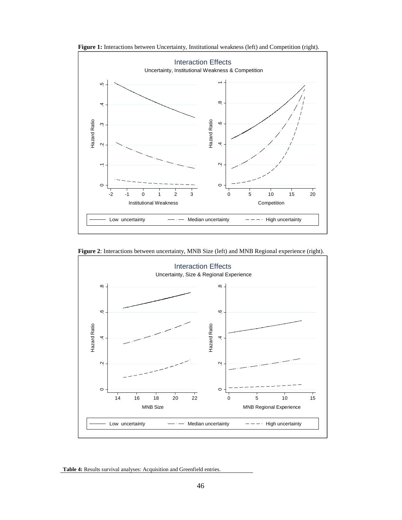

Figure 1: Interactions between Uncertainty, Institutional weakness (left) and Competition (right).

**Figure 2**: Interactions between uncertainty, MNB Size (left) and MNB Regional experience (right).



**Table 4:** Results survival analyses: Acquisition and Greenfield entries.